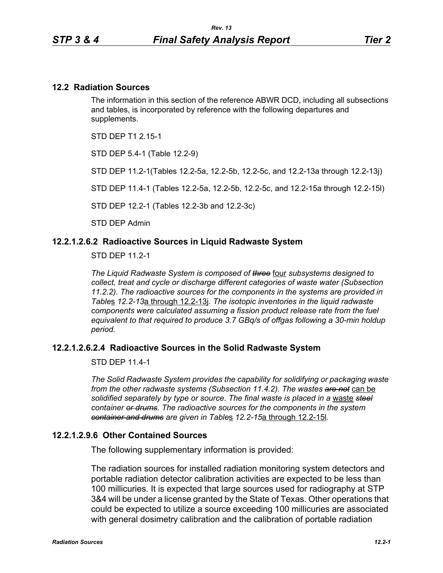#### **12.2 Radiation Sources**

The information in this section of the reference ABWR DCD, including all subsections and tables, is incorporated by reference with the following departures and supplements.

STD DEP T1 2 15-1

STD DEP 5.4-1 (Table 12.2-9)

STD DEP 11.2-1(Tables 12.2-5a, 12.2-5b, 12.2-5c, and 12.2-13a through 12.2-13j)

STD DEP 11.4-1 (Tables 12.2-5a, 12.2-5b, 12.2-5c, and 12.2-15a through 12.2-15l)

STD DEP 12.2-1 (Tables 12.2-3b and 12.2-3c)

STD DEP Admin

#### **12.2.1.2.6.2 Radioactive Sources in Liquid Radwaste System**

STD DEP 11.2-1

*The Liquid Radwaste System is composed of three* four *subsystems designed to collect, treat and cycle or discharge different categories of waste water (Subsection 11.2.2). The radioactive sources for the components in the systems are provided in Table*s *12.2-13*a through 12.2-13j*. The isotopic inventories in the liquid radwaste components were calculated assuming a fission product release rate from the fuel equivalent to that required to produce 3.7 GBq/s of offgas following a 30-min holdup period.* 

#### **12.2.1.2.6.2.4 Radioactive Sources in the Solid Radwaste System**

STD DEP 11.4-1

*The Solid Radwaste System provides the capability for solidifying or packaging waste from the other radwaste systems (Subsection 11.4.2). The wastes are not* can be *solidified separately by type or source. The final waste is placed in a* waste *steel container or drums. The radioactive sources for the components in the system container and drums are given in Table*s *12.2-15*a through 12.2-15l*.*

#### **12.2.1.2.9.6 Other Contained Sources**

The following supplementary information is provided:

The radiation sources for installed radiation monitoring system detectors and portable radiation detector calibration activities are expected to be less than 100 millicuries. It is expected that large sources used for radiography at STP 3&4 will be under a license granted by the State of Texas. Other operations that could be expected to utilize a source exceeding 100 millicuries are associated with general dosimetry calibration and the calibration of portable radiation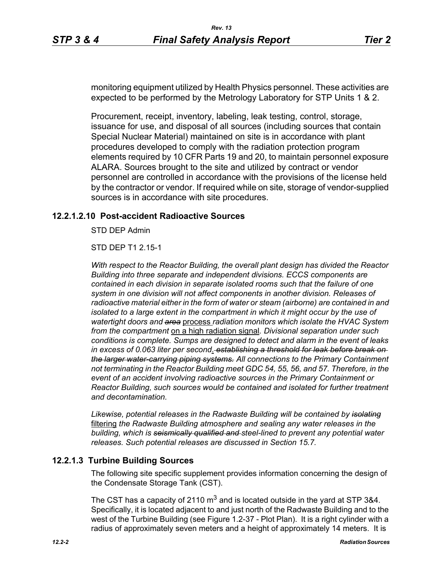monitoring equipment utilized by Health Physics personnel. These activities are expected to be performed by the Metrology Laboratory for STP Units 1 & 2.

Procurement, receipt, inventory, labeling, leak testing, control, storage, issuance for use, and disposal of all sources (including sources that contain Special Nuclear Material) maintained on site is in accordance with plant procedures developed to comply with the radiation protection program elements required by 10 CFR Parts 19 and 20, to maintain personnel exposure ALARA. Sources brought to the site and utilized by contract or vendor personnel are controlled in accordance with the provisions of the license held by the contractor or vendor. If required while on site, storage of vendor-supplied sources is in accordance with site procedures.

#### **12.2.1.2.10 Post-accident Radioactive Sources**

STD DEP Admin

STD DEP T1 2.15-1

*With respect to the Reactor Building, the overall plant design has divided the Reactor Building into three separate and independent divisions. ECCS components are contained in each division in separate isolated rooms such that the failure of one system in one division will not affect components in another division. Releases of radioactive material either in the form of water or steam (airborne) are contained in and isolated to a large extent in the compartment in which it might occur by the use of watertight doors and area* process *radiation monitors which isolate the HVAC System from the compartment* on a high radiation signal*. Divisional separation under such conditions is complete. Sumps are designed to detect and alarm in the event of leaks in excess of 0.063 liter per second*. *establishing a threshold for leak before break on the larger water-carrying piping systems. All connections to the Primary Containment not terminating in the Reactor Building meet GDC 54, 55, 56, and 57. Therefore, in the event of an accident involving radioactive sources in the Primary Containment or Reactor Building, such sources would be contained and isolated for further treatment and decontamination.*

*Likewise, potential releases in the Radwaste Building will be contained by isolating* filtering *the Radwaste Building atmosphere and sealing any water releases in the building, which is seismically qualified and steel-lined to prevent any potential water releases. Such potential releases are discussed in Section 15.7.* 

#### **12.2.1.3 Turbine Building Sources**

The following site specific supplement provides information concerning the design of the Condensate Storage Tank (CST).

The CST has a capacity of 2110  $m^3$  and is located outside in the yard at STP 3&4. Specifically, it is located adjacent to and just north of the Radwaste Building and to the west of the Turbine Building (see Figure 1.2-37 - Plot Plan). It is a right cylinder with a radius of approximately seven meters and a height of approximately 14 meters. It is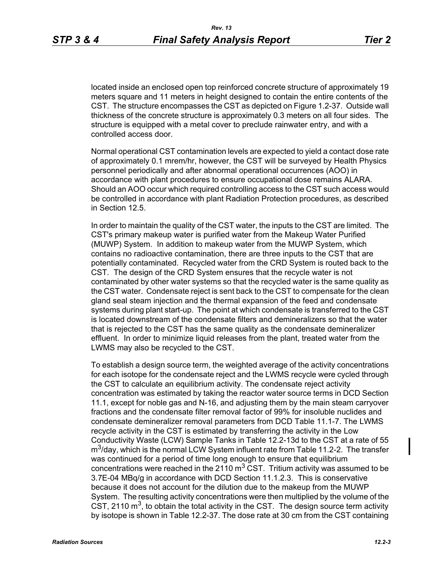located inside an enclosed open top reinforced concrete structure of approximately 19 meters square and 11 meters in height designed to contain the entire contents of the CST. The structure encompasses the CST as depicted on Figure 1.2-37. Outside wall thickness of the concrete structure is approximately 0.3 meters on all four sides. The structure is equipped with a metal cover to preclude rainwater entry, and with a controlled access door.

Normal operational CST contamination levels are expected to yield a contact dose rate of approximately 0.1 mrem/hr, however, the CST will be surveyed by Health Physics personnel periodically and after abnormal operational occurrences (AOO) in accordance with plant procedures to ensure occupational dose remains ALARA. Should an AOO occur which required controlling access to the CST such access would be controlled in accordance with plant Radiation Protection procedures, as described in Section 12.5.

In order to maintain the quality of the CST water, the inputs to the CST are limited. The CST's primary makeup water is purified water from the Makeup Water Purified (MUWP) System. In addition to makeup water from the MUWP System, which contains no radioactive contamination, there are three inputs to the CST that are potentially contaminated. Recycled water from the CRD System is routed back to the CST. The design of the CRD System ensures that the recycle water is not contaminated by other water systems so that the recycled water is the same quality as the CST water. Condensate reject is sent back to the CST to compensate for the clean gland seal steam injection and the thermal expansion of the feed and condensate systems during plant start-up. The point at which condensate is transferred to the CST is located downstream of the condensate filters and demineralizers so that the water that is rejected to the CST has the same quality as the condensate demineralizer effluent. In order to minimize liquid releases from the plant, treated water from the LWMS may also be recycled to the CST.

To establish a design source term, the weighted average of the activity concentrations for each isotope for the condensate reject and the LWMS recycle were cycled through the CST to calculate an equilibrium activity. The condensate reject activity concentration was estimated by taking the reactor water source terms in DCD Section 11.1, except for noble gas and N-16, and adjusting them by the main steam carryover fractions and the condensate filter removal factor of 99% for insoluble nuclides and condensate demineralizer removal parameters from DCD Table 11.1-7. The LWMS recycle activity in the CST is estimated by transferring the activity in the Low Conductivity Waste (LCW) Sample Tanks in Table 12.2-13d to the CST at a rate of 55  $m<sup>3</sup>/day$ , which is the normal LCW System influent rate from Table 11.2-2. The transfer was continued for a period of time long enough to ensure that equilibrium concentrations were reached in the 2110  $m<sup>3</sup>$  CST. Tritium activity was assumed to be 3.7E-04 MBq/g in accordance with DCD Section 11.1.2.3. This is conservative because it does not account for the dilution due to the makeup from the MUWP System. The resulting activity concentrations were then multiplied by the volume of the CST, 2110  $m<sup>3</sup>$ , to obtain the total activity in the CST. The design source term activity by isotope is shown in Table 12.2-37. The dose rate at 30 cm from the CST containing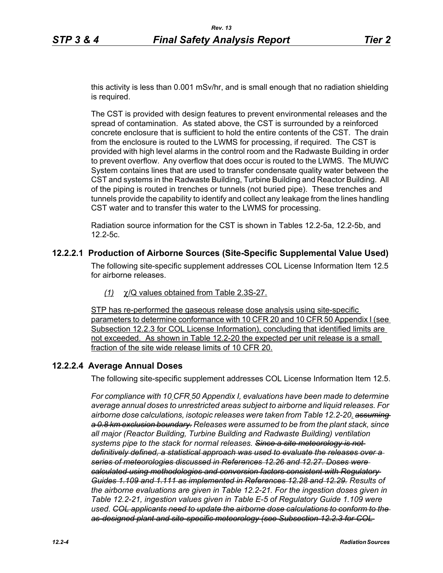this activity is less than 0.001 mSv/hr, and is small enough that no radiation shielding is required.

The CST is provided with design features to prevent environmental releases and the spread of contamination. As stated above, the CST is surrounded by a reinforced concrete enclosure that is sufficient to hold the entire contents of the CST. The drain from the enclosure is routed to the LWMS for processing, if required. The CST is provided with high level alarms in the control room and the Radwaste Building in order to prevent overflow. Any overflow that does occur is routed to the LWMS. The MUWC System contains lines that are used to transfer condensate quality water between the CST and systems in the Radwaste Building, Turbine Building and Reactor Building. All of the piping is routed in trenches or tunnels (not buried pipe). These trenches and tunnels provide the capability to identify and collect any leakage from the lines handling CST water and to transfer this water to the LWMS for processing.

Radiation source information for the CST is shown in Tables 12.2-5a, 12.2-5b, and 12.2-5c.

#### **12.2.2.1 Production of Airborne Sources (Site-Specific Supplemental Value Used)**

The following site-specific supplement addresses COL License Information Item 12.5 for airborne releases.

*(1)* χ/Q values obtained from Table 2.3S-27.

STP has re-performed the gaseous release dose analysis using site-specific parameters to determine conformance with 10 CFR 20 and 10 CFR 50 Appendix I (see Subsection 12.2.3 for COL License Information), concluding that identified limits are not exceeded. As shown in Table 12.2-20 the expected per unit release is a small fraction of the site wide release limits of 10 CFR 20.

#### **12.2.2.4 Average Annual Doses**

The following site-specific supplement addresses COL License Information Item 12.5.

*For compliance with 10 CFR 50 Appendix I, evaluations have been made to determine average annual doses to unrestricted areas subject to airborne and liquid releases. For airborne dose calculations, isotopic releases were taken from Table 12.2-20. assuming a 0.8 km exclusion boundary. Releases were assumed to be from the plant stack, since all major (Reactor Building, Turbine Building and Radwaste Building) ventilation systems pipe to the stack for normal releases. Since a site meteorology is not definitively defined, a statistical approach was used to evaluate the releases over a series of meteorologies discussed in References 12.26 and 12.27. Doses were calculated using methodologies and conversion factors consistent with Regulatory Guides 1.109 and 1.111 as implemented in References 12.28 and 12.29. Results of the airborne evaluations are given in Table 12.2-21. For the ingestion doses given in Table 12.2-21, ingestion values given in Table E-5 of Regulatory Guide 1.109 were used. COL applicants need to update the airborne dose calculations to conform to the as-designed plant and site-specific meteorology (see Subsection 12.2.3 for COL*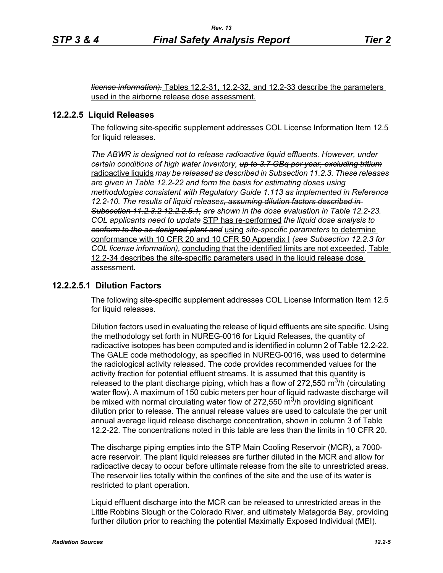*license information).* Tables 12.2-31, 12.2-32, and 12.2-33 describe the parameters used in the airborne release dose assessment.

#### **12.2.2.5 Liquid Releases**

The following site-specific supplement addresses COL License Information Item 12.5 for liquid releases.

*The ABWR is designed not to release radioactive liquid effluents. However, under certain conditions of high water inventory, up to 3.7 GBq per year, excluding tritium* radioactive liquids *may be released as described in Subsection 11.2.3. These releases are given in Table 12.2-22 and form the basis for estimating doses using methodologies consistent with Regulatory Guide 1.113 as implemented in Reference 12.2-10. The results of liquid releases, assuming dilution factors described in Subsection 11.2.3.2 12.2.2.5.1, are shown in the dose evaluation in Table 12.2-23. COL applicants need to update* STP has re-performed *the liquid dose analysis to conform to the as-designed plant and* using *site-specific parameters* to determine conformance with 10 CFR 20 and 10 CFR 50 Appendix I *(see Subsection 12.2.3 for COL license information),* concluding that the identified limits are not exceeded*.* Table 12.2-34 describes the site-specific parameters used in the liquid release dose assessment.

#### **12.2.2.5.1 Dilution Factors**

The following site-specific supplement addresses COL License Information Item 12.5 for liquid releases.

Dilution factors used in evaluating the release of liquid effluents are site specific. Using the methodology set forth in NUREG-0016 for Liquid Releases, the quantity of radioactive isotopes has been computed and is identified in column 2 of Table 12.2-22. The GALE code methodology, as specified in NUREG-0016, was used to determine the radiological activity released. The code provides recommended values for the activity fraction for potential effluent streams. It is assumed that this quantity is released to the plant discharge piping, which has a flow of 272,550  $\text{m}^3/\text{h}$  (circulating water flow). A maximum of 150 cubic meters per hour of liquid radwaste discharge will be mixed with normal circulating water flow of 272,550  $\mathrm{m}^3$ /h providing significant dilution prior to release. The annual release values are used to calculate the per unit annual average liquid release discharge concentration, shown in column 3 of Table 12.2-22. The concentrations noted in this table are less than the limits in 10 CFR 20.

The discharge piping empties into the STP Main Cooling Reservoir (MCR), a 7000 acre reservoir. The plant liquid releases are further diluted in the MCR and allow for radioactive decay to occur before ultimate release from the site to unrestricted areas. The reservoir lies totally within the confines of the site and the use of its water is restricted to plant operation.

Liquid effluent discharge into the MCR can be released to unrestricted areas in the Little Robbins Slough or the Colorado River, and ultimately Matagorda Bay, providing further dilution prior to reaching the potential Maximally Exposed Individual (MEI).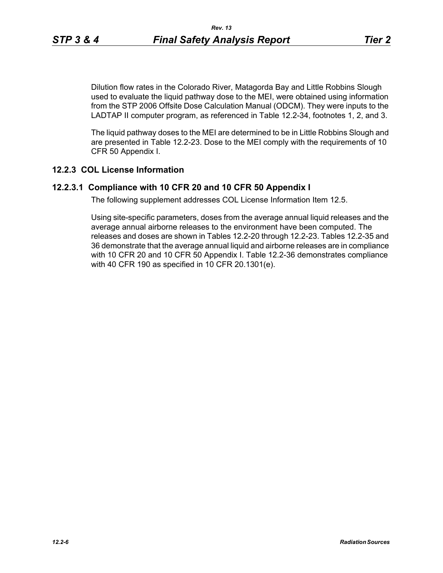Dilution flow rates in the Colorado River, Matagorda Bay and Little Robbins Slough used to evaluate the liquid pathway dose to the MEI, were obtained using information from the STP 2006 Offsite Dose Calculation Manual (ODCM). They were inputs to the LADTAP II computer program, as referenced in Table 12.2-34, footnotes 1, 2, and 3.

The liquid pathway doses to the MEI are determined to be in Little Robbins Slough and are presented in Table 12.2-23. Dose to the MEI comply with the requirements of 10 CFR 50 Appendix I.

#### **12.2.3 COL License Information**

#### **12.2.3.1 Compliance with 10 CFR 20 and 10 CFR 50 Appendix I**

The following supplement addresses COL License Information Item 12.5.

Using site-specific parameters, doses from the average annual liquid releases and the average annual airborne releases to the environment have been computed. The releases and doses are shown in Tables 12.2-20 through 12.2-23. Tables 12.2-35 and 36 demonstrate that the average annual liquid and airborne releases are in compliance with 10 CFR 20 and 10 CFR 50 Appendix I. Table 12.2-36 demonstrates compliance with 40 CFR 190 as specified in 10 CFR 20.1301(e).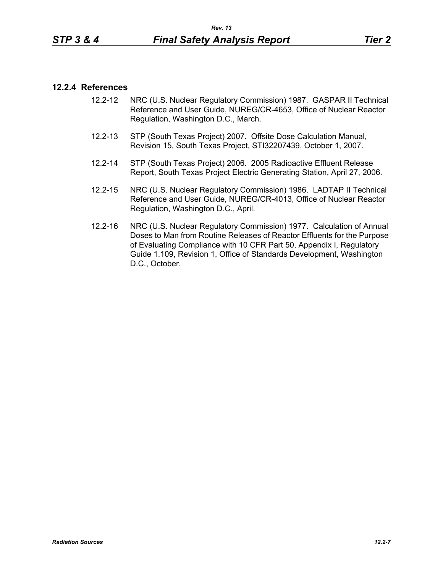#### **12.2.4 References**

- 12.2-12 NRC (U.S. Nuclear Regulatory Commission) 1987. GASPAR II Technical Reference and User Guide, NUREG/CR-4653, Office of Nuclear Reactor Regulation, Washington D.C., March.
- 12.2-13 STP (South Texas Project) 2007. Offsite Dose Calculation Manual, Revision 15, South Texas Project, STI32207439, October 1, 2007.
- 12.2-14 STP (South Texas Project) 2006. 2005 Radioactive Effluent Release Report, South Texas Project Electric Generating Station, April 27, 2006.
- 12.2-15 NRC (U.S. Nuclear Regulatory Commission) 1986. LADTAP II Technical Reference and User Guide, NUREG/CR-4013, Office of Nuclear Reactor Regulation, Washington D.C., April.
- 12.2-16 NRC (U.S. Nuclear Regulatory Commission) 1977. Calculation of Annual Doses to Man from Routine Releases of Reactor Effluents for the Purpose of Evaluating Compliance with 10 CFR Part 50, Appendix I, Regulatory Guide 1.109, Revision 1, Office of Standards Development, Washington D.C., October.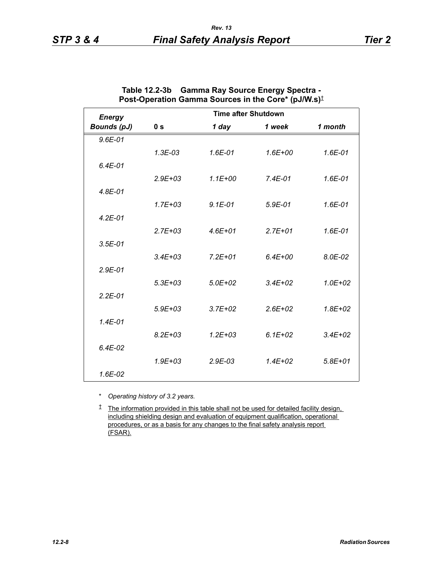| <b>Energy</b>      |                | <b>Time after Shutdown</b> |             |             |
|--------------------|----------------|----------------------------|-------------|-------------|
| <b>Bounds (pJ)</b> | 0 <sub>s</sub> | 1 day                      | 1 week      | 1 month     |
| $9.6E - 01$        |                |                            |             |             |
|                    | $1.3E-03$      | 1.6E-01                    | $1.6E + 00$ | 1.6E-01     |
| $6.4E-01$          |                |                            |             |             |
|                    | $2.9E + 0.3$   | $1.1E + 00$                | $7.4E - 01$ | $1.6E-01$   |
| $4.8E - 01$        |                |                            |             |             |
|                    | $1.7E + 03$    | $9.1E - 01$                | $5.9E-01$   | 1.6E-01     |
| $4.2E - 01$        |                |                            |             |             |
|                    | $2.7E + 03$    | $4.6E + 01$                | $2.7E + 01$ | 1.6E-01     |
| $3.5E-01$          |                |                            |             |             |
|                    | $3.4E + 03$    | $7.2E + 01$                | $6.4E + 00$ | 8.0E-02     |
| $2.9E - 01$        |                |                            |             |             |
|                    | $5.3E + 0.3$   | $5.0E + 02$                | $3.4E + 02$ | $1.0E + 02$ |
| $2.2E - 01$        |                |                            |             |             |
|                    | $5.9E + 03$    | $3.7E + 02$                | $2.6E + 02$ | $1.8E + 02$ |
| $1.4E - 01$        |                |                            |             |             |
|                    | $8.2E + 03$    | $1.2E + 03$                | $6.1E + 02$ | $3.4E + 02$ |
| $6.4E-02$          |                |                            |             |             |
|                    | $1.9E + 0.3$   | $2.9E-03$                  | $1.4E + 02$ | $5.8E + 01$ |
| 1.6E-02            |                |                            |             |             |

| Table 12.2-3b | <b>Gamma Ray Source Energy Spectra -</b>                        |
|---------------|-----------------------------------------------------------------|
|               | Post-Operation Gamma Sources in the Core* (pJ/W.s) <sup>†</sup> |

\* *Operating history of 3.2 years.*

<sup> $†$ </sup> The information provided in this table shall not be used for detailed facility design, including shielding design and evaluation of equipment qualification, operational procedures, or as a basis for any changes to the final safety analysis report (FSAR).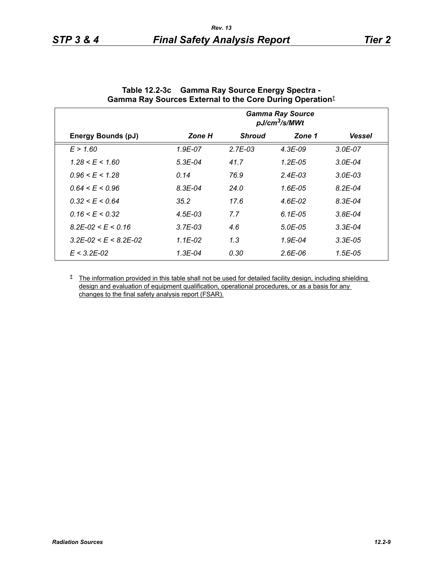|                                 |             |               | <b>Gamma Ray Source</b><br>pJ/cm <sup>3</sup> /s/MWt |               |
|---------------------------------|-------------|---------------|------------------------------------------------------|---------------|
| <b>Energy Bounds (pJ)</b>       | Zone H      | <b>Shroud</b> | Zone 1                                               | <b>Vessel</b> |
| E > 1.60                        | 1.9E-07     | $2.7E-03$     | $4.3E-09$                                            | $3.0E - 07$   |
| $1.28 \le E \le 1.60$           | $5.3E-04$   | 41.7          | 1.2E-05                                              | $3.0E - 04$   |
| $0.96 \le E \le 1.28$           | 0.14        | 76.9          | $2.4E - 03$                                          | $3.0E - 03$   |
| $0.64 \le E \le 0.96$           | $8.3E - 04$ | 24.0          | 1.6E-05                                              | $8.2E - 04$   |
| $0.32 \le E \le 0.64$           | 35.2        | 17.6          | 4.6E-02                                              | $8.3E - 04$   |
| $0.16 \le E \le 0.32$           | $4.5E - 03$ | 7.7           | $6.1E-0.5$                                           | $3.8E - 04$   |
| $8.2E - 02 \le E \le 0.16$      | $3.7E-03$   | 4.6           | $5.0E - 0.5$                                         | $3.3E-04$     |
| $3.2E - 02 \le E \le 8.2E - 02$ | 1.1E-02     | 1.3           | $1.9E - 04$                                          | $3.3E-05$     |
| $E < 3.2E - 0.2$                | 1.3E-04     | 0.30          | $2.6E-06$                                            | $1.5E-0.5$    |

| Table 12.2-3c Gamma Ray Source Energy Spectra -                  |
|------------------------------------------------------------------|
| Gamma Ray Sources External to the Core During Operation $^\ddag$ |

<sup> $†$ </sup> The information provided in this table shall not be used for detailed facility design, including shielding design and evaluation of equipment qualification, operational procedures, or as a basis for any changes to the final safety analysis report (FSAR).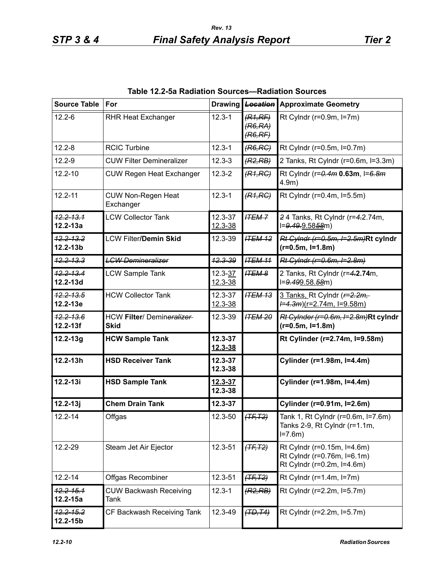| <b>Source Table</b>              | For                                              | <b>Drawing</b>         | <b>Location</b>                | <b>Approximate Geometry</b>                                                              |
|----------------------------------|--------------------------------------------------|------------------------|--------------------------------|------------------------------------------------------------------------------------------|
| $12.2 - 6$                       | <b>RHR Heat Exchanger</b>                        | $12.3 - 1$             | (R1,RF)<br>(R6, RA)<br>(R6,RF) | Rt Cylndr ( $r=0.9m$ , $l=7m$ )                                                          |
| $12.2 - 8$                       | <b>RCIC Turbine</b>                              | $12.3 - 1$             | (R6, RC)                       | Rt Cylndr (r=0.5m, l=0.7m)                                                               |
| $12.2 - 9$                       | <b>CUW Filter Demineralizer</b>                  | $12.3 - 3$             | (R2, RB)                       | 2 Tanks, Rt Cylndr (r=0.6m, l=3.3m)                                                      |
| $12.2 - 10$                      | <b>CUW Regen Heat Exchanger</b>                  | $12.3 - 2$             | (R1, RC)                       | Rt Cylndr (r=0.4m 0.63m, I=6.8m<br>$4.9m$ )                                              |
| $12.2 - 11$                      | <b>CUW Non-Regen Heat</b><br>Exchanger           | $12.3 - 1$             | (R1, RC)                       | Rt Cylndr (r=0.4m, l=5.5m)                                                               |
| $12.2 - 13.1$<br>$12.2 - 13a$    | <b>LCW Collector Tank</b>                        | 12.3-37<br>12.3-38     | <b>ITEM-7</b>                  | 24 Tanks, Rt Cylndr (r=4.2.74m,<br>l=9.49.9.5858m)                                       |
| $12.2 - 13.2$<br>$12.2 - 13b$    | <b>LCW Filter/Demin Skid</b>                     | 12.3-39                | <b>ITEM 12</b>                 | Rt Cylndr (r=0.5m, I=2.5m)Rt cylndr<br>$(r=0.5m, l=1.8m)$                                |
| <del>12.2-13.3</del>             | <b>LCW Demineralizer</b>                         | <b>12.3-39</b>         | <b>ITEM 11</b>                 | Rt Cylndr (r=0.6m, I=2.8m)                                                               |
| $12.2 - 13.4$<br>12.2-13d        | <b>LCW Sample Tank</b>                           | $12.3 - 37$<br>12.3-38 | <b>ITEM 8</b>                  | 2 Tanks, Rt Cylndr (r=4.2.74m,<br>l=9.499.58.58m)                                        |
| <del>12.2-13.5</del><br>12.2-13e | <b>HCW Collector Tank</b>                        | 12.3-37<br>12.3-38     | <b>ITEM 13</b>                 | 3 Tanks, Rt Cylndr ( $r=2.2m$<br><del>l=4.3m</del> )(r=2.74m, l=9.58m)                   |
| $12.2 - 13.6$<br>$12.2 - 13f$    | <b>HCW Filter/ Demineralizer-</b><br><b>Skid</b> | 12.3-39                | <b>ITEM 20</b>                 | Rt Cylnder (r=0.6m, l=2.8m)Rt cylndr<br>$(r=0.5m, l=1.8m)$                               |
| $12.2 - 13g$                     | <b>HCW Sample Tank</b>                           | 12.3-37<br>12.3-38     |                                | Rt Cylinder (r=2.74m, l=9.58m)                                                           |
| $12.2 - 13h$                     | <b>HSD Receiver Tank</b>                         | $12.3 - 37$<br>12.3-38 |                                | Cylinder (r=1.98m, I=4.4m)                                                               |
| $12.2 - 13i$                     | <b>HSD Sample Tank</b>                           | 12.3-37<br>12.3-38     |                                | Cylinder (r=1.98m, l=4.4m)                                                               |
| $12.2 - 13j$                     | <b>Chem Drain Tank</b>                           | $12.3 - 37$            |                                | Cylinder (r=0.91m, I=2.6m)                                                               |
| $12.2 - 14$                      | Offgas                                           | 12.3-50                | (TF, T2)                       | Tank 1, Rt Cylndr (r=0.6m, l=7.6m)<br>Tanks 2-9, Rt Cylndr (r=1.1m,<br>$I = 7.6m$        |
| 12.2-29                          | Steam Jet Air Ejector                            | 12.3-51                | $(TF, T2)$                     | Rt Cylndr (r=0.15m, l=4.6m)<br>Rt Cylndr (r=0.76m, l=6.1m)<br>Rt Cylndr (r=0.2m, l=4.6m) |
| $12.2 - 14$                      | Offgas Recombiner                                | 12.3-51                | $(TF, T2)$                     | Rt Cylndr ( $r=1.4m$ , $l=7m$ )                                                          |
| $12.2 - 15.1$<br>$12.2 - 15a$    | <b>CUW Backwash Receiving</b><br>Tank            | $12.3 - 1$             | (R2, RB)                       | Rt Cylndr (r=2.2m, l=5.7m)                                                               |
| <del>12.2-15.2</del><br>12.2-15b | CF Backwash Receiving Tank                       | 12.3-49                | (TD, T4)                       | Rt Cylndr (r=2.2m, l=5.7m)                                                               |

**Table 12.2-5a Radiation Sources—Radiation Sources**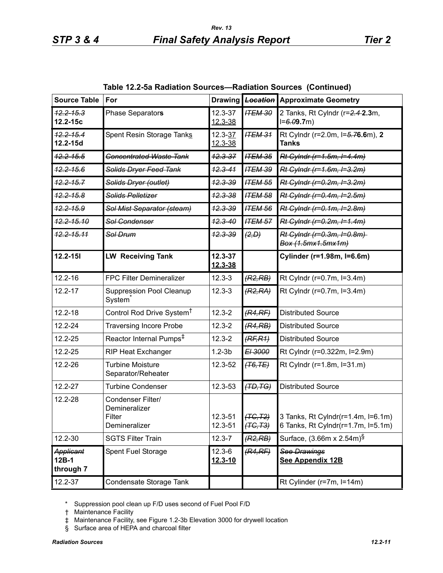| <b>Source Table</b>             | For                                                           | <b>Drawing</b>         | <b>Location</b>                  | <b>Approximate Geometry</b>                                              |
|---------------------------------|---------------------------------------------------------------|------------------------|----------------------------------|--------------------------------------------------------------------------|
| $12.2 - 15.3$<br>12.2-15c       | Phase Separators                                              | 12.3-37<br>12.3-38     | <b>ITEM 30</b>                   | 2 Tanks, Rt Cylndr (r=2.4-2.3m,<br>$I = 6.09.7m$                         |
| $12.2 - 15.4$<br>$12.2 - 15d$   | Spent Resin Storage Tanks                                     | 12.3-37<br>12.3-38     | <b>ITEM 31</b>                   | Rt Cylndr (r=2.0m, l=5.76.6m), 2<br><b>Tanks</b>                         |
| $42.2 - 15.5$                   | <b>Concentrated Waste Tank</b>                                | $12.3 - 37$            | <b>ITEM 35</b>                   | Rt Cylndr (r=1.5m, I=4.4m)                                               |
| $42.2 - 15.6$                   | Solids Dryer Feed Tank                                        | $12.3 - 41$            | <b>ITEM 39</b>                   | Rt Cylndr (r=1.6m, I=3.2m)                                               |
| $12.2 - 15.7$                   | Solids Dryer (outlet)                                         | $42.3 - 39$            | <b>ITEM 55</b>                   | Rt Cylndr (r=0.2m, I=3.2m)                                               |
| $42.2 - 15.8$                   | Solids Pelletizer                                             | $12.3 - 38$            | <b>ITEM 58</b>                   | Rt Cylndr (r=0.4m, I=2.5m)                                               |
| <del>12.2-15.9</del>            | Sol Mist Separator (steam)                                    | <del>12.3-39</del>     | <b>ITEM 56</b>                   | Rt Cylndr (r=0.1m, I=2.8m)                                               |
| <del>12.2-15.10</del>           | Sol Condenser                                                 | $42.3 - 40$            | <b>ITEM 57</b>                   | Rt Cylndr (r=0.2m, l=1.4m)                                               |
| <del>12.2-15.11</del>           | Sol Drum                                                      | <del>12.3-39</del>     | (2, D)                           | Rt Cylndr (r=0.3m, I=0.8m)<br>Box (1.5mx1.5mx1m)                         |
| $12.2 - 151$                    | <b>LW Receiving Tank</b>                                      | $12.3 - 37$<br>12.3-38 |                                  | Cylinder (r=1.98m, I=6.6m)                                               |
| $12.2 - 16$                     | FPC Filter Demineralizer                                      | $12.3 - 3$             | (R2, RB)                         | Rt Cylndr (r=0.7m, l=3.4m)                                               |
| $12.2 - 17$                     | <b>Suppression Pool Cleanup</b><br>System                     | $12.3 - 3$             | (R2, RA)                         | Rt Cylndr (r=0.7m, l=3.4m)                                               |
| $12.2 - 18$                     | Control Rod Drive System <sup>T</sup>                         | $12.3 - 2$             | (R4,RF)                          | <b>Distributed Source</b>                                                |
| $12.2 - 24$                     | <b>Traversing Incore Probe</b>                                | $12.3 - 2$             | (R4, RB)                         | <b>Distributed Source</b>                                                |
| 12.2-25                         | Reactor Internal Pumps <sup>‡</sup>                           | $12.3 - 2$             | (RF, R1)                         | <b>Distributed Source</b>                                                |
| 12.2-25                         | <b>RIP Heat Exchanger</b>                                     | $1.2 - 3b$             | EI 3000                          | Rt Cylndr (r=0.322m, l=2.9m)                                             |
| 12.2-26                         | <b>Turbine Moisture</b><br>Separator/Reheater                 | 12.3-52                | $(T6,TE)$                        | Rt Cylndr (r=1.8m, l=31.m)                                               |
| 12.2-27                         | <b>Turbine Condenser</b>                                      | 12.3-53                | (TD, TG)                         | <b>Distributed Source</b>                                                |
| 12.2-28                         | Condenser Filter/<br>Demineralizer<br>Filter<br>Demineralizer | 12.3-51<br>12.3-51     | <del>(TC,T2)</del><br>$(TC, T3)$ | 3 Tanks, Rt Cylndr(r=1.4m, l=6.1m)<br>6 Tanks, Rt Cylndr(r=1.7m, l=5.1m) |
| 12.2-30                         | <b>SGTS Filter Train</b>                                      | $12.3 - 7$             | (R2, RB)                         | Surface, (3.66m x 2.54m) <sup>§</sup>                                    |
| Applicant<br>12B-1<br>through 7 | Spent Fuel Storage                                            | $12.3 - 6$<br>12.3-10  | (R4,RF)                          | <b>See Drawings</b><br>See Appendix 12B                                  |
| 12.2-37                         | Condensate Storage Tank                                       |                        |                                  | Rt Cylinder (r=7m, l=14m)                                                |

**Table 12.2-5a Radiation Sources—Radiation Sources (Continued)**

\* Suppression pool clean up F/D uses second of Fuel Pool F/D

† Maintenance Facility

- ‡ Maintenance Facility, see Figure 1.2-3b Elevation 3000 for drywell location
- § Surface area of HEPA and charcoal filter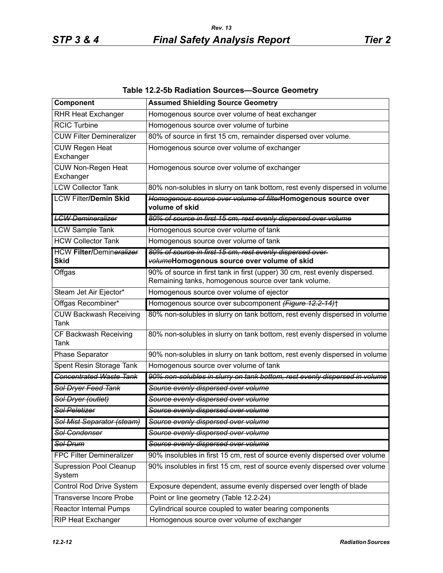| Table 12.2-5b Radiation Sources-Source Geometry |  |  |  |  |
|-------------------------------------------------|--|--|--|--|
|-------------------------------------------------|--|--|--|--|

| Component                                      | <b>Assumed Shielding Source Geometry</b>                                                                                           |
|------------------------------------------------|------------------------------------------------------------------------------------------------------------------------------------|
| <b>RHR Heat Exchanger</b>                      | Homogenous source over volume of heat exchanger                                                                                    |
| <b>RCIC Turbine</b>                            | Homogenous source over volume of turbine                                                                                           |
| <b>CUW Filter Demineralizer</b>                | 80% of source in first 15 cm, remainder dispersed over volume.                                                                     |
| <b>CUW Regen Heat</b><br>Exchanger             | Homogenous source over volume of exchanger                                                                                         |
| CUW Non-Regen Heat<br>Exchanger                | Homogenous source over volume of exchanger                                                                                         |
| <b>LCW Collector Tank</b>                      | 80% non-solubles in slurry on tank bottom, rest evenly dispersed in volume                                                         |
| <b>LCW Filter/Demin Skid</b>                   | Homogenous source over volume of filterHomogenous source over<br>volume of skid                                                    |
| <b>LCW Demineralizer</b>                       | 80% of source in first 15 cm, rest evenly dispersed over volume                                                                    |
| <b>LCW Sample Tank</b>                         | Homogenous source over volume of tank                                                                                              |
| <b>HCW Collector Tank</b>                      | Homogenous source over volume of tank                                                                                              |
| <b>HCW Filter/Demineralizer</b><br><b>Skid</b> | 80% of source in first 15 cm, rest evenly dispersed over-<br>volumeHomogenous source over volume of skid                           |
| Offgas                                         | 90% of source in first tank in first (upper) 30 cm, rest evenly dispersed.<br>Remaining tanks, homogenous source over tank volume. |
| Steam Jet Air Ejector*                         | Homogenous source over volume of ejector                                                                                           |
| Offgas Recombiner*                             | Homogenous source over subcomponent (Figure 12.2-14)+                                                                              |
| <b>CUW Backwash Receiving</b><br>Tank          | 80% non-solubles in slurry on tank bottom, rest evenly dispersed in volume                                                         |
| CF Backwash Receiving<br><b>Tank</b>           | 80% non-solubles in slurry on tank bottom, rest evenly dispersed in volume                                                         |
| Phase Separator                                | 90% non-solubles in slurry on tank bottom, rest evenly dispersed in volume                                                         |
| Spent Resin Storage Tank                       | Homogenous source over volume of tank                                                                                              |
| <b>Concentrated Waste Tank</b>                 | 90% non-solubles in slurry on tank bottom, rest evenly dispersed in volume                                                         |
| Sol Dryer Feed Tank                            | Source evenly dispersed over volume                                                                                                |
| Sol Dryer (outlet)                             | Source evenly dispersed over volume                                                                                                |
| <b>Sol Peletizer</b>                           | Source evenly dispersed over volume                                                                                                |
| Sol Mist Separator (steam)                     | Source evenly dispersed over volume                                                                                                |
| <b>Sol Condenser</b>                           | Source evenly dispersed over volume                                                                                                |
| Sol Drum                                       | Source evenly dispersed over volume                                                                                                |
| <b>FPC Filter Demineralizer</b>                | 90% insolubles in first 15 cm, rest of source evenly dispersed over volume                                                         |
| <b>Supression Pool Cleanup</b><br>System       | 90% insolubles in first 15 cm, rest of source evenly dispersed over volume                                                         |
| Control Rod Drive System                       | Exposure dependent, assume evenly dispersed over length of blade                                                                   |
| <b>Transverse Incore Probe</b>                 | Point or line geometry (Table 12.2-24)                                                                                             |
| <b>Reactor Internal Pumps</b>                  | Cylindrical source coupled to water bearing components                                                                             |
| <b>RIP Heat Exchanger</b>                      | Homogenous source over volume of exchanger                                                                                         |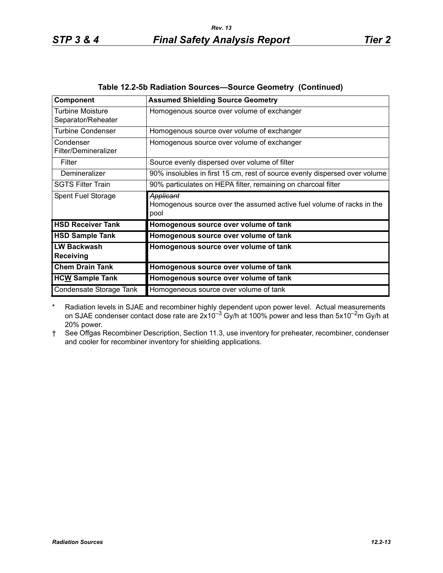| Component                                     | <b>Assumed Shielding Source Geometry</b>                                                   |
|-----------------------------------------------|--------------------------------------------------------------------------------------------|
| <b>Turbine Moisture</b><br>Separator/Reheater | Homogenous source over volume of exchanger                                                 |
| <b>Turbine Condenser</b>                      | Homogenous source over volume of exchanger                                                 |
| Condenser<br>Filter/Demineralizer             | Homogenous source over volume of exchanger                                                 |
| Filter                                        | Source evenly dispersed over volume of filter                                              |
| Demineralizer                                 | 90% insolubles in first 15 cm, rest of source evenly dispersed over volume                 |
| <b>SGTS Filter Train</b>                      | 90% particulates on HEPA filter, remaining on charcoal filter                              |
| Spent Fuel Storage                            | Applicant<br>Homogenous source over the assumed active fuel volume of racks in the<br>pool |
| <b>HSD Receiver Tank</b>                      | Homogenous source over volume of tank                                                      |
| <b>HSD Sample Tank</b>                        | Homogenous source over volume of tank                                                      |
| <b>LW Backwash</b><br><b>Receiving</b>        | Homogenous source over volume of tank                                                      |
| <b>Chem Drain Tank</b>                        | Homogenous source over volume of tank                                                      |
| <b>HCW Sample Tank</b>                        | Homogenous source over volume of tank                                                      |
| Condensate Storage Tank                       | Homogeneous source over volume of tank                                                     |

| Table 12.2-5b Radiation Sources-Source Geometry (Continued) |
|-------------------------------------------------------------|
|-------------------------------------------------------------|

\* Radiation levels in SJAE and recombiner highly dependent upon power level. Actual measurements on SJAE condenser contact dose rate are  $2x10^{-3}$  Gy/h at 100% power and less than 5x10<sup>-2</sup>m Gy/h at 20% power.

† See Offgas Recombiner Description, Section 11.3, use inventory for preheater, recombiner, condenser and cooler for recombiner inventory for shielding applications.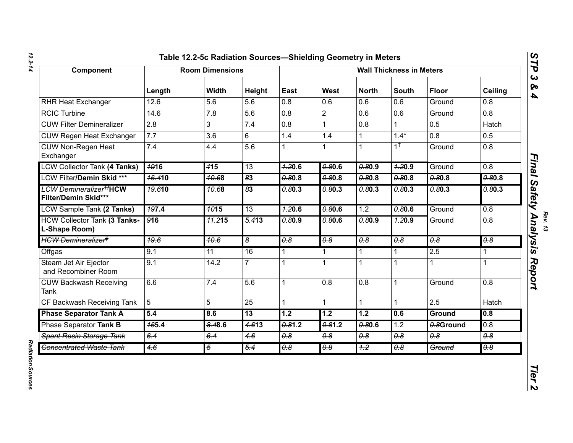| ı |  |
|---|--|
|   |  |
|   |  |
|   |  |

| Component                                                        |                  | <b>Room Dimensions</b> |                       | <b>Wall Thickness in Meters</b> |                                  |                       |                             |                                  |                                  |
|------------------------------------------------------------------|------------------|------------------------|-----------------------|---------------------------------|----------------------------------|-----------------------|-----------------------------|----------------------------------|----------------------------------|
|                                                                  | Length           | <b>Width</b>           | Height                | East                            | West                             | <b>North</b>          | <b>South</b>                | <b>Floor</b>                     | <b>Ceiling</b>                   |
| <b>RHR Heat Exchanger</b>                                        | 12.6             | 5.6                    | 5.6                   | 0.8                             | 0.6                              | 0.6                   | 0.6                         | Ground                           | 0.8                              |
| <b>RCIC Turbine</b>                                              | 14.6             | 7.8                    | 5.6                   | 0.8                             | $\overline{2}$                   | 0.6                   | 0.6                         | Ground                           | 0.8                              |
| <b>CUW Filter Demineralizer</b>                                  | 2.8              | $\mathfrak{B}$         | 7.4                   | $\overline{0.8}$                |                                  | $\overline{0.8}$      |                             | 0.5                              | Hatch                            |
| <b>CUW Regen Heat Exchanger</b>                                  | 7.7              | 3.6                    | 6                     | 1.4                             | 1.4                              | 1                     | $1.4*$                      | 0.8                              | 0.5                              |
| <b>CUW Non-Regen Heat</b><br>Exchanger                           | $\overline{7.4}$ | 4.4                    | $\overline{5.6}$      |                                 |                                  | 1                     | $1^{\dagger}$               | Ground                           | 0.8                              |
| <b>LCW Collector Tank (4 Tanks)</b>                              | <b>1916</b>      | 115                    | 13                    | 4.20.6                          | 0.80.6                           | 0.80.9                | 4.20.9                      | Ground                           | 0.8                              |
| LCW Filter/Demin Skid ***                                        | <b>16.410</b>    | <del>10.6</del> 8      | 83                    | 0.80.8                          | 0.80.8                           | 0.80.8                | 0.80.8                      | 0.80.8                           | 0.80.8                           |
| <b>LCW Demineralizer<sup>#J</sup>HCW</b><br>Filter/Demin Skid*** | 19.610           | <b>10.68</b>           | 83                    | 0.80.3                          | 0.80.3                           | 0.80.3                | 0.80.3                      | 0.80.3                           | 0.80.3                           |
| LCW Sample Tank (2 Tanks)                                        | 497.4            | <b>1015</b>            | $\overline{13}$       | 7.20.6                          | 0.80.6                           | 1.2                   | 0.80.6                      | Ground                           | 0.8                              |
| <b>HCW Collector Tank (3 Tanks-</b><br>L-Shape Room)             | 916              | <b>11.215</b>          | $\frac{5.413}{5.413}$ | 0.80.9                          | 0.80.6                           | 0.80.9                | 7.20.9                      | Ground                           | 0.8                              |
| HCW Demineralizer <sup>#</sup>                                   | $\frac{49.6}{ }$ | 40.6                   | 8                     | $\overline{\theta.8}$           | $\overline{\theta \cdot \theta}$ | $\overline{\theta.8}$ | $\overline{\theta \cdot 8}$ | $\overline{\theta \cdot \theta}$ | $\overline{\theta \cdot \theta}$ |
| Offgas                                                           | 9.1              | $\overline{11}$        | 16                    | $\mathbf 1$                     |                                  | 1                     |                             | 2.5                              |                                  |
| Steam Jet Air Ejector<br>and Recombiner Room                     | 9.1              | 14.2                   | $\overline{7}$        | 1                               | 1                                | 1                     |                             | 1                                |                                  |
| <b>CUW Backwash Receiving</b><br><b>Tank</b>                     | 6.6              | 7.4                    | 5.6                   | 1                               | 0.8                              | 0.8                   | 1                           | Ground                           | 0.8                              |
| CF Backwash Receiving Tank                                       | 5                | 5                      | 25                    | 1                               |                                  | 1                     | 1                           | 2.5                              | Hatch                            |
| <b>Phase Separator Tank A</b>                                    | 5.4              | 8.6                    | 13                    | 1.2                             | 1.2                              | 1.2                   | 0.6                         | <b>Ground</b>                    | 0.8                              |
| Phase Separator Tank B                                           | <b>165.4</b>     | 8.48.6                 | 4.613                 | 0.81.2                          | 0.81.2                           | 0.80.6                | 1.2                         | 0.8Ground                        | $\overline{0.8}$                 |
| Spent Resin Storage Tank                                         | 6.4              | 6.4                    | 4.6                   | 0.8                             | 0.8                              | 0.8                   | 0.8                         | 0.8                              | 0.8                              |
| <b>Concentrated Waste Tank</b>                                   | 4.6              | $\overline{5}$         | 5.4                   | 0.8                             | 0.8                              | 4.2                   | 0.8                         | Ground                           | 0.8                              |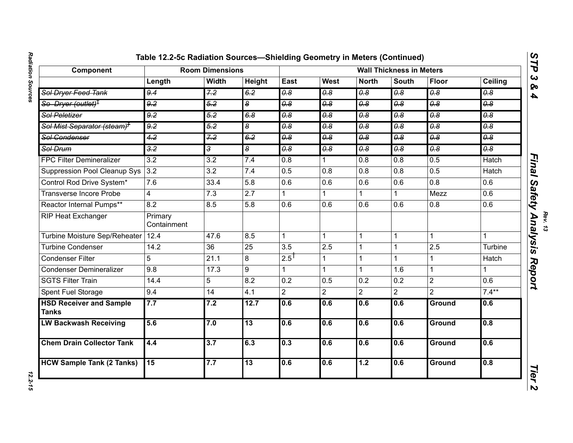| Component                                         |                        | <b>Room Dimensions</b> |                  |                       |                                  |                                  | <b>Wall Thickness in Meters</b>  |                             |                       |
|---------------------------------------------------|------------------------|------------------------|------------------|-----------------------|----------------------------------|----------------------------------|----------------------------------|-----------------------------|-----------------------|
|                                                   | Length                 | Width                  | Height           | East                  | West                             | <b>North</b>                     | <b>South</b>                     | <b>Floor</b>                | Ceiling               |
| Sol Dryer Feed Tank                               | 9.4                    | 7.2                    | 6.2              | $\overline{\theta.8}$ | $\overline{\theta \cdot \theta}$ | $\theta$ . $\theta$              | $\overline{\theta \cdot 8}$      | $\overline{\theta.8}$       | $\overline{\theta.8}$ |
| So_Dryer (outlet) <sup>‡</sup>                    | 9.2                    | 5.2                    | œ                | $\overline{\theta.8}$ | 0.8                              | 0.8                              | $\overline{\theta \cdot \theta}$ | $\overline{\theta \cdot 8}$ | 0.8                   |
| Sol Peletizer                                     | 9.2                    | $\overline{5.2}$       | 6.8              | $\overline{\theta.8}$ | $\overline{\theta \cdot \theta}$ | 0.8                              | $\overline{\theta \cdot 8}$      | $\overline{\theta.8}$       | $\overline{\theta.8}$ |
| <del>Sol Mist Separator (steam)<sup>†</sup></del> | 9.2                    | 5.2                    | 8                | 0.8                   | 0.8                              | 0.8                              | 0.8                              | 0.8                         | 0.8                   |
| Sol Condenser                                     | 4.2                    | 7.2                    | 6.2              | $\overline{\theta.8}$ | 0.8                              | $\overline{\theta \cdot \theta}$ | 0.8                              | 0.8                         | 0.8                   |
| Sol Drum                                          | $\frac{3}{2}$          | 3                      | 8                | 0.8                   | 0.8                              | 0.8                              | 0.8                              | 0.8                         | $\overline{\theta.8}$ |
| <b>FPC Filter Demineralizer</b>                   | 3.2                    | $\overline{3.2}$       | 7.4              | 0.8                   |                                  | 0.8                              | 0.8                              | 0.5                         | <b>Hatch</b>          |
| <b>Suppression Pool Cleanup Sys</b>               | 3.2                    | 3.2                    | 7.4              | 0.5                   | 0.8                              | 0.8                              | 0.8                              | 0.5                         | Hatch                 |
| Control Rod Drive System*                         | 7.6                    | 33.4                   | $\overline{5.8}$ | 0.6                   | $\overline{0.6}$                 | 0.6                              | 0.6                              | $\overline{0.8}$            | 0.6                   |
| <b>Transverse Incore Probe</b>                    | 4                      | 7.3                    | 2.7              | 1                     |                                  | 1.                               |                                  | Mezz                        | 0.6                   |
| Reactor Internal Pumps**                          | 8.2                    | 8.5                    | 5.8              | 0.6                   | 0.6                              | 0.6                              | 0.6                              | 0.8                         | 0.6                   |
| <b>RIP Heat Exchanger</b>                         | Primary<br>Containment |                        |                  |                       |                                  |                                  |                                  |                             |                       |
| <b>Turbine Moisture Sep/Reheater</b>              | 12.4                   | 47.6                   | 8.5              | $\mathbf{1}$          | $\mathbf{1}$                     | $\mathbf{1}$                     | $\mathbf{1}$                     |                             |                       |
| <b>Turbine Condenser</b>                          | 14.2                   | 36                     | 25               | 3.5                   | 2.5                              |                                  |                                  | 2.5                         | Turbine               |
| Condenser Filter                                  | 5                      | 21.1                   | 8                | 2.5                   | $\mathbf{1}$                     | 1                                | 1                                |                             | Hatch                 |
| <b>Condenser Demineralizer</b>                    | 9.8                    | 17.3                   | 9                | 1                     | $\mathbf{1}$                     | $\mathbf 1$                      | 1.6                              |                             | 1                     |
| <b>SGTS Filter Train</b>                          | 14.4                   | 5                      | 8.2              | $\overline{0.2}$      | 0.5                              | $\overline{0.2}$                 | 0.2                              | $\overline{2}$              | 0.6                   |
| Spent Fuel Storage                                | 9.4                    | 14                     | 4.1              | $\overline{2}$        | $\overline{2}$                   | $\overline{2}$                   | $\overline{2}$                   | $\overline{2}$              | $7.4***$              |
| <b>HSD Receiver and Sample</b><br><b>Tanks</b>    | 7.7                    | 7.2                    | 12.7             | 0.6                   | 0.6                              | 0.6                              | 0.6                              | Ground                      | 0.6                   |
| <b>LW Backwash Receiving</b>                      | 5.6                    | 7.0                    | $\overline{13}$  | 0.6                   | 0.6                              | 0.6                              | 0.6                              | <b>Ground</b>               | 0.8                   |
| <b>Chem Drain Collector Tank</b>                  | 4.4                    | 3.7                    | 6.3              | 0.3                   | 0.6                              | 0.6                              | 0.6                              | Ground                      | 0.6                   |
| <b>HCW Sample Tank (2 Tanks)</b>                  | 15                     | 7.7                    | 13               | 0.6                   | 0.6                              | 1.2                              | 0.6                              | <b>Ground</b>               | 0.8                   |

# Radiation Sources

*Rev. 13*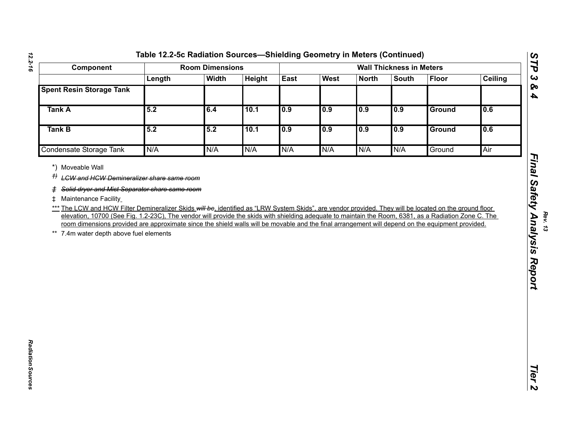|                                                                                                                                                                                                                                                                                                                                                      |        | <b>Room Dimensions</b> |        |      |             |              | <b>Wall Thickness in Meters</b> |               |                |
|------------------------------------------------------------------------------------------------------------------------------------------------------------------------------------------------------------------------------------------------------------------------------------------------------------------------------------------------------|--------|------------------------|--------|------|-------------|--------------|---------------------------------|---------------|----------------|
|                                                                                                                                                                                                                                                                                                                                                      | Length | <b>Width</b>           | Height | East | <b>West</b> | <b>North</b> | <b>South</b>                    | <b>Floor</b>  | <b>Ceiling</b> |
| <b>Spent Resin Storage Tank</b>                                                                                                                                                                                                                                                                                                                      |        |                        |        |      |             |              |                                 |               |                |
| <b>Tank A</b>                                                                                                                                                                                                                                                                                                                                        | 5.2    | 6.4                    | 10.1   | 0.9  | 0.9         | 0.9          | 0.9                             | <b>Ground</b> | 0.6            |
| <b>Tank B</b>                                                                                                                                                                                                                                                                                                                                        | 5.2    | 5.2                    | 10.1   | 0.9  | 0.9         | 0.9          | 0.9                             | Ground        | 0.6            |
| <b>Condensate Storage Tank</b>                                                                                                                                                                                                                                                                                                                       | N/A    | N/A                    | N/A    | N/A  | N/A         | N/A          | N/A                             | Ground        | Air            |
| elevation, 10700 (See Fig. 1.2-23C), The vendor will provide the skids with shielding adequate to maintain the Room, 6381, as a Radiation Zone C. The<br>room dimensions provided are approximate since the shield walls will be movable and the final arrangement will depend on the equipment provided.<br>** 7.4m water depth above fuel elements |        |                        |        |      |             |              |                                 |               |                |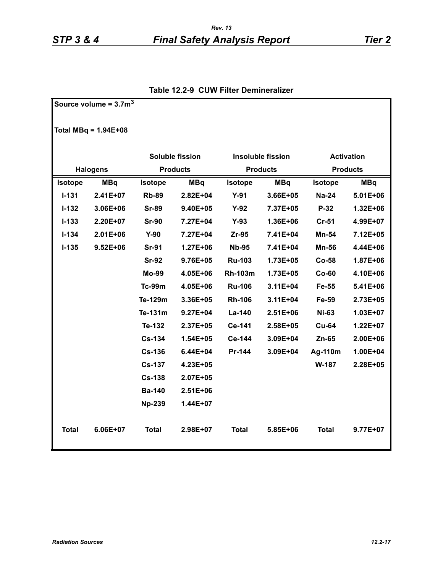|                | Source volume = $3.7m3$ |                |                        |                |                          |                |                   |
|----------------|-------------------------|----------------|------------------------|----------------|--------------------------|----------------|-------------------|
|                | Total MBq = $1.94E+08$  |                |                        |                |                          |                |                   |
|                |                         |                | <b>Soluble fission</b> |                | <b>Insoluble fission</b> |                | <b>Activation</b> |
|                | <b>Halogens</b>         |                | <b>Products</b>        |                | <b>Products</b>          |                | <b>Products</b>   |
| <b>Isotope</b> | <b>MBq</b>              | <b>Isotope</b> | <b>MBq</b>             | <b>Isotope</b> | <b>MBq</b>               | <b>Isotope</b> | <b>MBq</b>        |
| $I - 131$      | 2.41E+07                | <b>Rb-89</b>   | 2.82E+04               | $Y-91$         | 3.66E+05                 | <b>Na-24</b>   | $5.01E + 06$      |
| $I-132$        | 3.06E+06                | <b>Sr-89</b>   | 9.40E+05               | $Y-92$         | 7.37E+05                 | $P-32$         | 1.32E+06          |
| $I - 133$      | 2.20E+07                | <b>Sr-90</b>   | 7.27E+04               | $Y-93$         | 1.36E+06                 | $Cr-51$        | 4.99E+07          |
| $I - 134$      | $2.01E + 06$            | $Y-90$         | 7.27E+04               | $Zr-95$        | 7.41E+04                 | <b>Mn-54</b>   | 7.12E+05          |
| $I - 135$      | $9.52E + 06$            | <b>Sr-91</b>   | 1.27E+06               | <b>Nb-95</b>   | 7.41E+04                 | <b>Mn-56</b>   | 4.44E+06          |
|                |                         | <b>Sr-92</b>   | 9.76E+05               | <b>Ru-103</b>  | 1.73E+05                 | Co-58          | 1.87E+06          |
|                |                         | Mo-99          | 4.05E+06               | <b>Rh-103m</b> | 1.73E+05                 | $Co-60$        | 4.10E+06          |
|                |                         | <b>Tc-99m</b>  | 4.05E+06               | <b>Ru-106</b>  | 3.11E+04                 | Fe-55          | 5.41E+06          |
|                |                         | Te-129m        | 3.36E+05               | <b>Rh-106</b>  | 3.11E+04                 | Fe-59          | 2.73E+05          |
|                |                         | Te-131m        | 9.27E+04               | La-140         | $2.51E + 06$             | <b>Ni-63</b>   | 1.03E+07          |
|                |                         | Te-132         | 2.37E+05               | Ce-141         | 2.58E+05                 | <b>Cu-64</b>   | 1.22E+07          |
|                |                         | <b>Cs-134</b>  | $1.54E + 05$           | Ce-144         | 3.09E+04                 | $Zn-65$        | 2.00E+06          |
|                |                         | <b>Cs-136</b>  | 6.44E+04               | Pr-144         | 3.09E+04                 | Ag-110m        | 1.00E+04          |
|                |                         | <b>Cs-137</b>  | 4.23E+05               |                |                          | W-187          | 2.28E+05          |
|                |                         | <b>Cs-138</b>  | 2.07E+05               |                |                          |                |                   |
|                |                         | <b>Ba-140</b>  | 2.51E+06               |                |                          |                |                   |
|                |                         | <b>Np-239</b>  | 1.44E+07               |                |                          |                |                   |
| <b>Total</b>   | 6.06E+07                | <b>Total</b>   | 2.98E+07               | <b>Total</b>   | 5.85E+06                 | <b>Total</b>   | 9.77E+07          |

#### **Table 12.2-9 CUW Filter Demineralizer**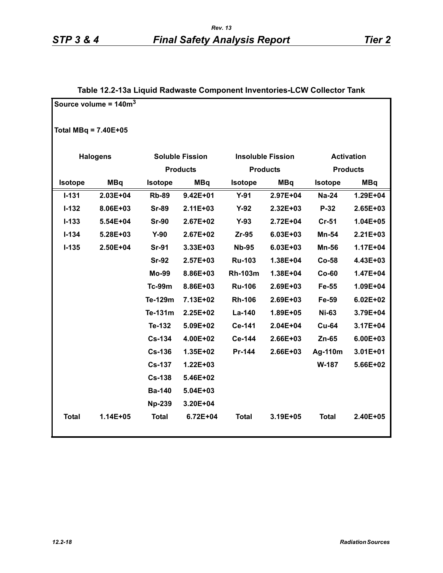## **Table 12.2-13a Liquid Radwaste Component Inventories-LCW Collector Tank**

|                        | Source volume = $140m3$ |                |                        |                |                          |                |                   |
|------------------------|-------------------------|----------------|------------------------|----------------|--------------------------|----------------|-------------------|
| Total MBq = $7.40E+05$ |                         |                |                        |                |                          |                |                   |
|                        | <b>Halogens</b>         |                | <b>Soluble Fission</b> |                | <b>Insoluble Fission</b> |                | <b>Activation</b> |
|                        |                         |                | <b>Products</b>        |                | <b>Products</b>          |                | <b>Products</b>   |
| <b>Isotope</b>         | <b>MBq</b>              | <b>Isotope</b> | <b>MBq</b>             | <b>Isotope</b> | <b>MBq</b>               | <b>Isotope</b> | <b>MBq</b>        |
| $I - 131$              | 2.03E+04                | <b>Rb-89</b>   | $9.42E + 01$           | $Y-91$         | 2.97E+04                 | <b>Na-24</b>   | 1.29E+04          |
| $I - 132$              | 8.06E+03                | <b>Sr-89</b>   | $2.11E + 03$           | $Y-92$         | 2.32E+03                 | P-32           | 2.65E+03          |
| $I - 133$              | 5.54E+04                | <b>Sr-90</b>   | 2.67E+02               | $Y-93$         | 2.72E+04                 | Cr-51          | 1.04E+05          |
| $I - 134$              | 5.28E+03                | $Y-90$         | 2.67E+02               | $Zr-95$        | 6.03E+03                 | Mn-54          | $2.21E + 03$      |
| $I - 135$              | 2.50E+04                | <b>Sr-91</b>   | 3.33E+03               | <b>Nb-95</b>   | 6.03E+03                 | <b>Mn-56</b>   | $1.17E + 04$      |
|                        |                         | <b>Sr-92</b>   | $2.57E + 03$           | <b>Ru-103</b>  | 1.38E+04                 | $Co-58$        | 4.43E+03          |
|                        |                         | <b>Mo-99</b>   | 8.86E+03               | <b>Rh-103m</b> | 1.38E+04                 | $Co-60$        | 1.47E+04          |
|                        |                         | <b>Tc-99m</b>  | 8.86E+03               | <b>Ru-106</b>  | 2.69E+03                 | Fe-55          | 1.09E+04          |
|                        |                         | Te-129m        | 7.13E+02               | <b>Rh-106</b>  | 2.69E+03                 | Fe-59          | $6.02E + 02$      |
|                        |                         | Te-131m        | $2.25E+02$             | La-140         | 1.89E+05                 | <b>Ni-63</b>   | 3.79E+04          |
|                        |                         | Te-132         | 5.09E+02               | Ce-141         | $2.04E + 04$             | <b>Cu-64</b>   | 3.17E+04          |
|                        |                         | <b>Cs-134</b>  | 4.00E+02               | Ce-144         | 2.66E+03                 | Zn-65          | 6.00E+03          |
|                        |                         | <b>Cs-136</b>  | 1.35E+02               | Pr-144         | 2.66E+03                 | Ag-110m        | 3.01E+01          |
|                        |                         | <b>Cs-137</b>  | 1.22E+03               |                |                          | W-187          | 5.66E+02          |
|                        |                         | <b>Cs-138</b>  | 5.46E+02               |                |                          |                |                   |
|                        |                         | <b>Ba-140</b>  | 5.04E+03               |                |                          |                |                   |
|                        |                         | <b>Np-239</b>  | 3.20E+04               |                |                          |                |                   |
| <b>Total</b>           | 1.14E+05                | <b>Total</b>   | 6.72E+04               | <b>Total</b>   | 3.19E+05                 | <b>Total</b>   | 2.40E+05          |
|                        |                         |                |                        |                |                          |                |                   |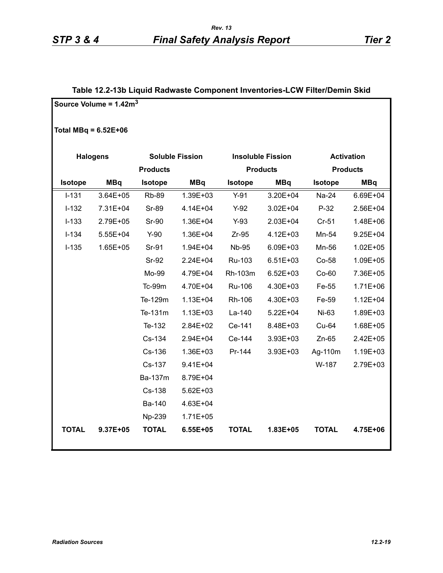#### **Table 12.2-13b Liquid Radwaste Component Inventories-LCW Filter/Demin Skid**

|                        | Source Volume = $1.42m3$ |                 |                        |                |                          |                |                   |
|------------------------|--------------------------|-----------------|------------------------|----------------|--------------------------|----------------|-------------------|
| Total MBq = $6.52E+06$ |                          |                 |                        |                |                          |                |                   |
|                        | <b>Halogens</b>          |                 | <b>Soluble Fission</b> |                | <b>Insoluble Fission</b> |                | <b>Activation</b> |
|                        |                          | <b>Products</b> |                        |                | <b>Products</b>          |                | <b>Products</b>   |
| <b>Isotope</b>         | <b>MBq</b>               | <b>Isotope</b>  | <b>MBq</b>             | <b>Isotope</b> | <b>MBq</b>               | <b>Isotope</b> | <b>MBq</b>        |
| $I-131$                | $3.64E + 05$             | <b>Rb-89</b>    | 1.39E+03               | $Y-91$         | 3.20E+04                 | Na-24          | 6.69E+04          |
| $I-132$                | 7.31E+04                 | <b>Sr-89</b>    | 4.14E+04               | $Y-92$         | $3.02E + 04$             | $P-32$         | 2.56E+04          |
| $I-133$                | 2.79E+05                 | <b>Sr-90</b>    | 1.36E+04               | $Y-93$         | 2.03E+04                 | $Cr-51$        | 1.48E+06          |
| $I-134$                | 5.55E+04                 | $Y-90$          | 1.36E+04               | $Zr-95$        | 4.12E+03                 | Mn-54          | 9.25E+04          |
| $I-135$                | 1.65E+05                 | Sr-91           | 1.94E+04               | <b>Nb-95</b>   | 6.09E+03                 | Mn-56          | $1.02E + 05$      |
|                        |                          | <b>Sr-92</b>    | 2.24E+04               | Ru-103         | $6.51E + 03$             | Co-58          | 1.09E+05          |
|                        |                          | Mo-99           | 4.79E+04               | Rh-103m        | $6.52E + 03$             | $Co-60$        | 7.36E+05          |
|                        |                          | Tc-99m          | 4.70E+04               | Ru-106         | 4.30E+03                 | Fe-55          | $1.71E + 06$      |
|                        |                          | Te-129m         | $1.13E + 04$           | Rh-106         | 4.30E+03                 | Fe-59          | $1.12E + 04$      |
|                        |                          | Te-131m         | $1.13E + 03$           | La-140         | $5.22E + 04$             | Ni-63          | 1.89E+03          |
|                        |                          | Te-132          | 2.84E+02               | Ce-141         | 8.48E+03                 | Cu-64          | 1.68E+05          |
|                        |                          | Cs-134          | 2.94E+04               | Ce-144         | 3.93E+03                 | $Zn-65$        | $2.42E + 05$      |
|                        |                          | Cs-136          | 1.36E+03               | Pr-144         | $3.93E + 03$             | Ag-110m        | 1.19E+03          |
|                        |                          | Cs-137          | $9.41E + 04$           |                |                          | W-187          | 2.79E+03          |
|                        |                          | Ba-137m         | 8.79E+04               |                |                          |                |                   |
|                        |                          | Cs-138          | 5.62E+03               |                |                          |                |                   |
|                        |                          | Ba-140          | 4.63E+04               |                |                          |                |                   |
|                        |                          | Np-239          | $1.71E + 05$           |                |                          |                |                   |
| <b>TOTAL</b>           | 9.37E+05                 | <b>TOTAL</b>    | 6.55E+05               | <b>TOTAL</b>   | 1.83E+05                 | <b>TOTAL</b>   | 4.75E+06          |
|                        |                          |                 |                        |                |                          |                |                   |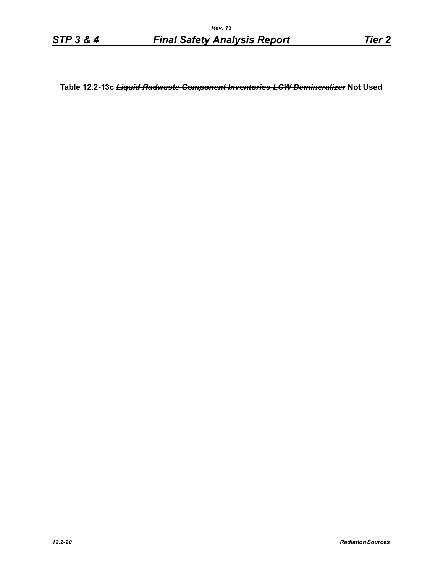**Table 12.2-13c** *Liquid Radwaste Component Inventories-LCW Demineralizer* **Not Used**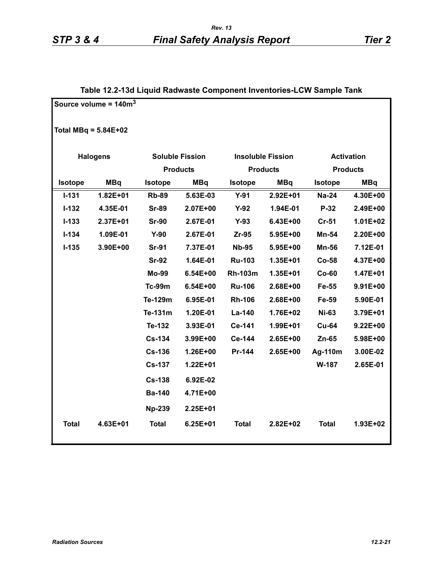# **Source volume = 140m3 Total MBq = 5.84E+02 Halogens Soluble Fission Insoluble Fission Activation Products Products Products Isotope MBq Isotope MBq Isotope MBq Isotope MBq I-131 1.82E+01 Rb-89 5.63E-03 Y-91 2.92E+01 Na-24 4.30E+00 I-132 4.35E-01 Sr-89 2.07E+00 Y-92 1.94E-01 P-32 2.49E+00 I-133 2.37E+01 Sr-90 2.67E-01 Y-93 6.43E+00 Cr-51 1.01E+02 I-134 1.09E-01 Y-90 2.67E-01 Zr-95 5.95E+00 Mn-54 2.20E+00 I-135 3.90E+00 Sr-91 7.37E-01 Nb-95 5.95E+00 Mn-56 7.12E-01 Sr-92 1.64E-01 Ru-103 1.35E+01 Co-58 4.37E+00 Mo-99 6.54E+00 Rh-103m 1.35E+01 Co-60 1.47E+01 Tc-99m 6.54E+00 Ru-106 2.68E+00 Fe-55 9.91E+00 Te-129m 6.95E-01 Rh-106 2.68E+00 Fe-59 5.90E-01 Te-131m 1.20E-01 La-140 1.76E+02 Ni-63 3.79E+01 Te-132 3.93E-01 Ce-141 1.99E+01 Cu-64 9.22E+00 Cs-134 3.99E+00 Ce-144 2.65E+00 Zn-65 5.98E+00 Cs-136 1.26E+00 Pr-144 2.65E+00 Ag-110m 3.00E-02 Cs-137 1.22E+01 W-187 2.65E-01 Cs-138 6.92E-02 Ba-140 4.71E+00 Np-239 2.25E+01 Total 4.63E+01 Total 6.25E+01 Total 2.82E+02 Total 1.93E+02**

#### **Table 12.2-13d Liquid Radwaste Component Inventories-LCW Sample Tank**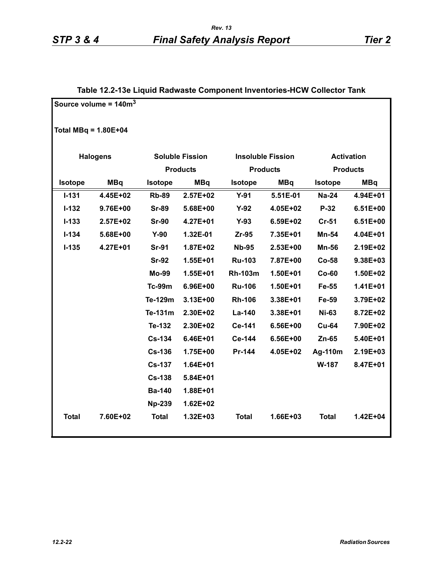|                        | Source volume = $140m3$ |                |                        |                |                          |                |                   |
|------------------------|-------------------------|----------------|------------------------|----------------|--------------------------|----------------|-------------------|
| Total MBq = $1.80E+04$ |                         |                |                        |                |                          |                |                   |
|                        | <b>Halogens</b>         |                | <b>Soluble Fission</b> |                | <b>Insoluble Fission</b> |                | <b>Activation</b> |
|                        |                         |                | <b>Products</b>        |                | <b>Products</b>          |                | <b>Products</b>   |
| Isotope                | <b>MBq</b>              | <b>Isotope</b> | <b>MBq</b>             | <b>Isotope</b> | <b>MBq</b>               | <b>Isotope</b> | <b>MBq</b>        |
| $I-131$                | 4.45E+02                | <b>Rb-89</b>   | $2.57E+02$             | $Y-91$         | 5.51E-01                 | <b>Na-24</b>   | 4.94E+01          |
| $I-132$                | 9.76E+00                | <b>Sr-89</b>   | 5.68E+00               | $Y-92$         | 4.05E+02                 | $P-32$         | $6.51E+00$        |
| $I - 133$              | $2.57E + 02$            | <b>Sr-90</b>   | 4.27E+01               | $Y-93$         | 6.59E+02                 | Cr-51          | $6.51E+00$        |
| $I - 134$              | 5.68E+00                | $Y-90$         | 1.32E-01               | Zr-95          | 7.35E+01                 | Mn-54          | 4.04E+01          |
| $I - 135$              | 4.27E+01                | <b>Sr-91</b>   | 1.87E+02               | <b>Nb-95</b>   | 2.53E+00                 | <b>Mn-56</b>   | 2.19E+02          |
|                        |                         | <b>Sr-92</b>   | 1.55E+01               | <b>Ru-103</b>  | 7.87E+00                 | $Co-58$        | 9.38E+03          |
|                        |                         | <b>Mo-99</b>   | 1.55E+01               | <b>Rh-103m</b> | 1.50E+01                 | $Co-60$        | 1.50E+02          |
|                        |                         | <b>Tc-99m</b>  | 6.96E+00               | <b>Ru-106</b>  | 1.50E+01                 | Fe-55          | $1.41E + 01$      |
|                        |                         | Te-129m        | 3.13E+00               | <b>Rh-106</b>  | 3.38E+01                 | Fe-59          | 3.79E+02          |
|                        |                         | Te-131m        | 2.30E+02               | La-140         | 3.38E+01                 | <b>Ni-63</b>   | 8.72E+02          |
|                        |                         | Te-132         | 2.30E+02               | Ce-141         | 6.56E+00                 | <b>Cu-64</b>   | 7.90E+02          |
|                        |                         | <b>Cs-134</b>  | 6.46E+01               | Ce-144         | 6.56E+00                 | $Zn-65$        | 5.40E+01          |
|                        |                         | <b>Cs-136</b>  | 1.75E+00               | Pr-144         | 4.05E+02                 | Ag-110m        | 2.19E+03          |
|                        |                         | <b>Cs-137</b>  | 1.64E+01               |                |                          | W-187          | 8.47E+01          |
|                        |                         | <b>Cs-138</b>  | 5.84E+01               |                |                          |                |                   |
|                        |                         | <b>Ba-140</b>  | 1.88E+01               |                |                          |                |                   |
|                        |                         | <b>Np-239</b>  | 1.62E+02               |                |                          |                |                   |
| <b>Total</b>           | 7.60E+02                | <b>Total</b>   | 1.32E+03               | <b>Total</b>   | 1.66E+03                 | <b>Total</b>   | 1.42E+04          |

### **Table 12.2-13e Liquid Radwaste Component Inventories-HCW Collector Tank**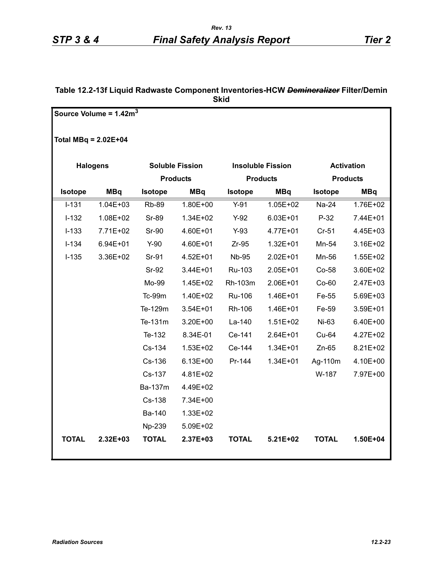#### **Table 12.2-13f Liquid Radwaste Component Inventories-HCW** *Demineralizer* **Filter/Demin Skid**

|                        | Source Volume = $1.42m3$ |                |                        |                |                          |                |                   |
|------------------------|--------------------------|----------------|------------------------|----------------|--------------------------|----------------|-------------------|
| Total MBq = $2.02E+04$ |                          |                |                        |                |                          |                |                   |
|                        | <b>Halogens</b>          |                | <b>Soluble Fission</b> |                | <b>Insoluble Fission</b> |                | <b>Activation</b> |
|                        |                          |                | <b>Products</b>        |                | <b>Products</b>          |                | <b>Products</b>   |
| <b>Isotope</b>         | <b>MBq</b>               | <b>Isotope</b> | <b>MBq</b>             | <b>Isotope</b> | <b>MBq</b>               | <b>Isotope</b> | <b>MBq</b>        |
| $I-131$                | $1.04E + 03$             | <b>Rb-89</b>   | 1.80E+00               | $Y-91$         | $1.05E + 02$             | Na-24          | 1.76E+02          |
| $I-132$                | 1.08E+02                 | <b>Sr-89</b>   | 1.34E+02               | $Y-92$         | $6.03E + 01$             | $P-32$         | 7.44E+01          |
| $I-133$                | 7.71E+02                 | <b>Sr-90</b>   | 4.60E+01               | $Y-93$         | 4.77E+01                 | $Cr-51$        | 4.45E+03          |
| $I-134$                | $6.94E + 01$             | $Y-90$         | 4.60E+01               | $Zr-95$        | $1.32E + 01$             | Mn-54          | 3.16E+02          |
| $I-135$                | 3.36E+02                 | Sr-91          | 4.52E+01               | <b>Nb-95</b>   | 2.02E+01                 | Mn-56          | $1.55E + 02$      |
|                        |                          | Sr-92          | 3.44E+01               | Ru-103         | 2.05E+01                 | Co-58          | 3.60E+02          |
|                        |                          | Mo-99          | 1.45E+02               | Rh-103m        | 2.06E+01                 | $Co-60$        | $2.47E + 03$      |
|                        |                          | Tc-99m         | 1.40E+02               | Ru-106         | 1.46E+01                 | Fe-55          | 5.69E+03          |
|                        |                          | Te-129m        | 3.54E+01               | Rh-106         | 1.46E+01                 | Fe-59          | 3.59E+01          |
|                        |                          | Te-131m        | 3.20E+00               | La-140         | $1.51E + 02$             | Ni-63          | 6.40E+00          |
|                        |                          | Te-132         | 8.34E-01               | Ce-141         | 2.64E+01                 | Cu-64          | 4.27E+02          |
|                        |                          | Cs-134         | 1.53E+02               | Ce-144         | $1.34E + 01$             | Zn-65          | 8.21E+02          |
|                        |                          | Cs-136         | $6.13E + 00$           | Pr-144         | 1.34E+01                 | Ag-110m        | 4.10E+00          |
|                        |                          | Cs-137         | 4.81E+02               |                |                          | W-187          | 7.97E+00          |
|                        |                          | Ba-137m        | 4.49E+02               |                |                          |                |                   |
|                        |                          | Cs-138         | 7.34E+00               |                |                          |                |                   |
|                        |                          | Ba-140         | 1.33E+02               |                |                          |                |                   |
|                        |                          | Np-239         | 5.09E+02               |                |                          |                |                   |
| <b>TOTAL</b>           | 2.32E+03                 | <b>TOTAL</b>   | 2.37E+03               | <b>TOTAL</b>   | 5.21E+02                 | <b>TOTAL</b>   | $1.50E + 04$      |
|                        |                          |                |                        |                |                          |                |                   |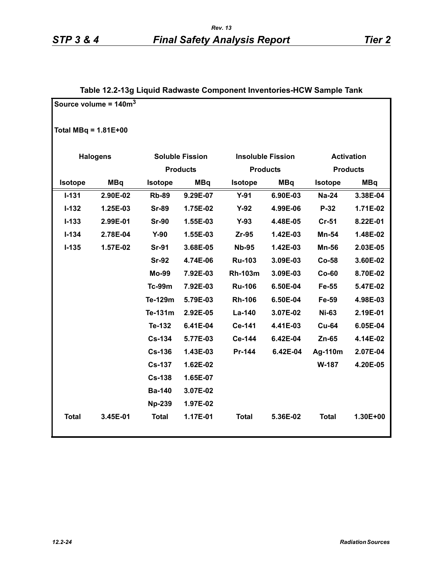|                        | Source volume = $140m3$ |                |                        |                 |                          |              |                   |
|------------------------|-------------------------|----------------|------------------------|-----------------|--------------------------|--------------|-------------------|
| Total MBq = $1.81E+00$ |                         |                |                        |                 |                          |              |                   |
|                        | <b>Halogens</b>         |                | <b>Soluble Fission</b> |                 | <b>Insoluble Fission</b> |              | <b>Activation</b> |
|                        |                         |                | <b>Products</b>        | <b>Products</b> |                          |              | <b>Products</b>   |
| Isotope                | <b>MBq</b>              | <b>Isotope</b> | <b>MBq</b>             | <b>Isotope</b>  | <b>MBq</b>               | Isotope      | <b>MBq</b>        |
| $I - 131$              | 2.90E-02                | <b>Rb-89</b>   | 9.29E-07               | $Y-91$          | 6.90E-03                 | <b>Na-24</b> | 3.38E-04          |
| $I-132$                | 1.25E-03                | <b>Sr-89</b>   | 1.75E-02               | $Y-92$          | 4.99E-06                 | $P-32$       | 1.71E-02          |
| $I - 133$              | 2.99E-01                | <b>Sr-90</b>   | 1.55E-03               | $Y-93$          | 4.48E-05                 | $Cr-51$      | 8.22E-01          |
| $I - 134$              | 2.78E-04                | $Y-90$         | 1.55E-03               | Zr-95           | 1.42E-03                 | Mn-54        | 1.48E-02          |
| $I-135$                | 1.57E-02                | <b>Sr-91</b>   | 3.68E-05               | <b>Nb-95</b>    | 1.42E-03                 | <b>Mn-56</b> | 2.03E-05          |
|                        |                         | <b>Sr-92</b>   | 4.74E-06               | <b>Ru-103</b>   | 3.09E-03                 | $Co-58$      | 3.60E-02          |
|                        |                         | <b>Mo-99</b>   | 7.92E-03               | <b>Rh-103m</b>  | 3.09E-03                 | $Co-60$      | 8.70E-02          |
|                        |                         | <b>Tc-99m</b>  | 7.92E-03               | <b>Ru-106</b>   | 6.50E-04                 | Fe-55        | 5.47E-02          |
|                        |                         | Te-129m        | 5.79E-03               | <b>Rh-106</b>   | 6.50E-04                 | Fe-59        | 4.98E-03          |
|                        |                         | Te-131m        | 2.92E-05               | La-140          | 3.07E-02                 | <b>Ni-63</b> | 2.19E-01          |
|                        |                         | Te-132         | 6.41E-04               | Ce-141          | 4.41E-03                 | <b>Cu-64</b> | 6.05E-04          |
|                        |                         | <b>Cs-134</b>  | 5.77E-03               | Ce-144          | 6.42E-04                 | Zn-65        | 4.14E-02          |
|                        |                         | <b>Cs-136</b>  | 1.43E-03               | Pr-144          | 6.42E-04                 | Ag-110m      | 2.07E-04          |
|                        |                         | <b>Cs-137</b>  | 1.62E-02               |                 |                          | W-187        | 4.20E-05          |
|                        |                         | <b>Cs-138</b>  | 1.65E-07               |                 |                          |              |                   |
|                        |                         | <b>Ba-140</b>  | 3.07E-02               |                 |                          |              |                   |
|                        |                         | <b>Np-239</b>  | 1.97E-02               |                 |                          |              |                   |
| <b>Total</b>           | 3.45E-01                | <b>Total</b>   | 1.17E-01               | <b>Total</b>    | 5.36E-02                 | <b>Total</b> | 1.30E+00          |

## **Table 12.2-13g Liquid Radwaste Component Inventories-HCW Sample Tank**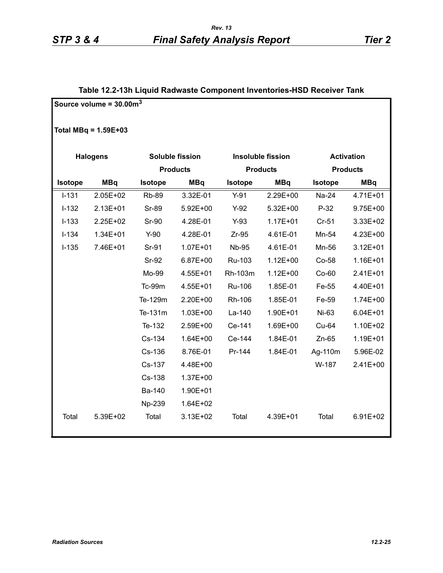### **Table 12.2-13h Liquid Radwaste Component Inventories-HSD Receiver Tank**

|         | Source volume = $30.003$ |                |                        |                |                          |                |                   |
|---------|--------------------------|----------------|------------------------|----------------|--------------------------|----------------|-------------------|
|         | Total MBq = $1.59E+03$   |                |                        |                |                          |                |                   |
|         | <b>Halogens</b>          |                | <b>Soluble fission</b> |                | <b>Insoluble fission</b> |                | <b>Activation</b> |
|         |                          |                | <b>Products</b>        |                | <b>Products</b>          |                | <b>Products</b>   |
| Isotope | <b>MBq</b>               | <b>Isotope</b> | <b>MBq</b>             | <b>Isotope</b> | <b>MBq</b>               | <b>Isotope</b> | <b>MBq</b>        |
| $I-131$ | 2.05E+02                 | <b>Rb-89</b>   | 3.32E-01               | $Y-91$         | 2.29E+00                 | Na-24          | 4.71E+01          |
| $I-132$ | 2.13E+01                 | <b>Sr-89</b>   | 5.92E+00               | $Y-92$         | 5.32E+00                 | $P-32$         | 9.75E+00          |
| $I-133$ | 2.25E+02                 | <b>Sr-90</b>   | 4.28E-01               | $Y-93$         | $1.17E + 01$             | $Cr-51$        | 3.33E+02          |
| $I-134$ | 1.34E+01                 | $Y-90$         | 4.28E-01               | $Zr-95$        | 4.61E-01                 | Mn-54          | 4.23E+00          |
| $I-135$ | 7.46E+01                 | Sr-91          | $1.07E + 01$           | <b>Nb-95</b>   | 4.61E-01                 | Mn-56          | $3.12E + 01$      |
|         |                          | Sr-92          | 6.87E+00               | Ru-103         | $1.12E + 00$             | Co-58          | 1.16E+01          |
|         |                          | Mo-99          | 4.55E+01               | Rh-103m        | $1.12E + 00$             | $Co-60$        | 2.41E+01          |
|         |                          | <b>Tc-99m</b>  | 4.55E+01               | Ru-106         | 1.85E-01                 | Fe-55          | 4.40E+01          |
|         |                          | Te-129m        | 2.20E+00               | Rh-106         | 1.85E-01                 | Fe-59          | 1.74E+00          |
|         |                          | Te-131m        | $1.03E + 00$           | La-140         | 1.90E+01                 | Ni-63          | $6.04E + 01$      |
|         |                          | Te-132         | 2.59E+00               | Ce-141         | 1.69E+00                 | Cu-64          | 1.10E+02          |
|         |                          | Cs-134         | $1.64E + 00$           | Ce-144         | 1.84E-01                 | $Zn-65$        | 1.19E+01          |
|         |                          | Cs-136         | 8.76E-01               | Pr-144         | 1.84E-01                 | Ag-110m        | 5.96E-02          |
|         |                          | Cs-137         | 4.48E+00               |                |                          | W-187          | 2.41E+00          |
|         |                          | Cs-138         | 1.37E+00               |                |                          |                |                   |
|         |                          | Ba-140         | 1.90E+01               |                |                          |                |                   |
|         |                          | Np-239         | 1.64E+02               |                |                          |                |                   |
| Total   | 5.39E+02                 | Total          | 3.13E+02               | Total          | 4.39E+01                 | Total          | 6.91E+02          |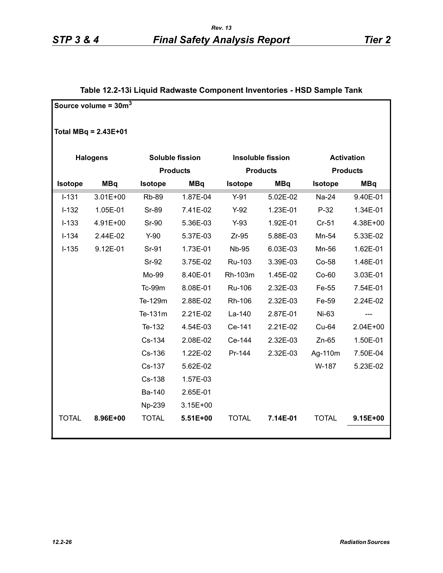### **Table 12.2-13i Liquid Radwaste Component Inventories - HSD Sample Tank**

|              | Source volume = $30m^3$ |              |                        |                |                          |              |                   |
|--------------|-------------------------|--------------|------------------------|----------------|--------------------------|--------------|-------------------|
|              | Total $MBq = 2.43E+01$  |              |                        |                |                          |              |                   |
|              | <b>Halogens</b>         |              | <b>Soluble fission</b> |                | <b>Insoluble fission</b> |              | <b>Activation</b> |
|              |                         |              | <b>Products</b>        |                | <b>Products</b>          |              | <b>Products</b>   |
| Isotope      | <b>MBq</b>              | Isotope      | <b>MBq</b>             | <b>Isotope</b> | <b>MBq</b>               | Isotope      | <b>MBq</b>        |
| $I-131$      | $3.01E + 00$            | <b>Rb-89</b> | 1.87E-04               | $Y-91$         | 5.02E-02                 | Na-24        | 9.40E-01          |
| $I-132$      | 1.05E-01                | <b>Sr-89</b> | 7.41E-02               | $Y-92$         | 1.23E-01                 | $P-32$       | 1.34E-01          |
| $I-133$      | 4.91E+00                | Sr-90        | 5.36E-03               | $Y-93$         | 1.92E-01                 | $Cr-51$      | 4.38E+00          |
| $I-134$      | 2.44E-02                | $Y-90$       | 5.37E-03               | $Zr-95$        | 5.88E-03                 | Mn-54        | 5.33E-02          |
| $I-135$      | 9.12E-01                | Sr-91        | 1.73E-01               | <b>Nb-95</b>   | 6.03E-03                 | Mn-56        | 1.62E-01          |
|              |                         | <b>Sr-92</b> | 3.75E-02               | Ru-103         | 3.39E-03                 | Co-58        | 1.48E-01          |
|              |                         | Mo-99        | 8.40E-01               | Rh-103m        | 1.45E-02                 | Co-60        | 3.03E-01          |
|              |                         | Tc-99m       | 8.08E-01               | Ru-106         | 2.32E-03                 | Fe-55        | 7.54E-01          |
|              |                         | Te-129m      | 2.88E-02               | Rh-106         | 2.32E-03                 | Fe-59        | 2.24E-02          |
|              |                         | Te-131m      | 2.21E-02               | La-140         | 2.87E-01                 | Ni-63        | ---               |
|              |                         | Te-132       | 4.54E-03               | Ce-141         | 2.21E-02                 | Cu-64        | $2.04E + 00$      |
|              |                         | Cs-134       | 2.08E-02               | Ce-144         | 2.32E-03                 | $Zn-65$      | 1.50E-01          |
|              |                         | Cs-136       | 1.22E-02               | Pr-144         | 2.32E-03                 | Ag-110m      | 7.50E-04          |
|              |                         | Cs-137       | 5.62E-02               |                |                          | W-187        | 5.23E-02          |
|              |                         | Cs-138       | 1.57E-03               |                |                          |              |                   |
|              |                         | Ba-140       | 2.65E-01               |                |                          |              |                   |
|              |                         | Np-239       | $3.15E + 00$           |                |                          |              |                   |
| <b>TOTAL</b> | 8.96E+00                | <b>TOTAL</b> | 5.51E+00               | <b>TOTAL</b>   | 7.14E-01                 | <b>TOTAL</b> | 9.15E+00          |
|              |                         |              |                        |                |                          |              |                   |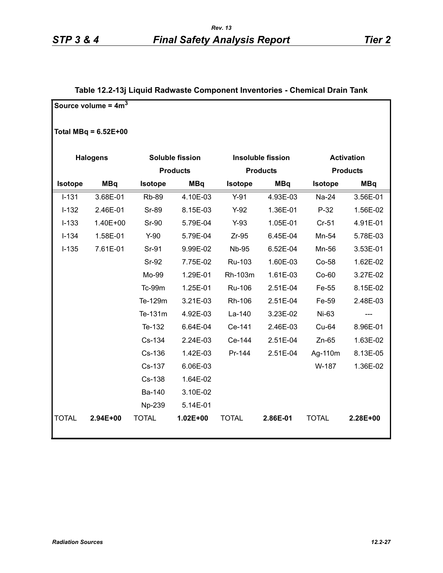### **Table 12.2-13j Liquid Radwaste Component Inventories - Chemical Drain Tank**

|              | Source volume = $4m3$  |              |                        |              |                          |              |                   |
|--------------|------------------------|--------------|------------------------|--------------|--------------------------|--------------|-------------------|
|              |                        |              |                        |              |                          |              |                   |
|              | Total MBq = $6.52E+00$ |              |                        |              |                          |              |                   |
|              | <b>Halogens</b>        |              | <b>Soluble fission</b> |              | <b>Insoluble fission</b> |              | <b>Activation</b> |
|              |                        |              | <b>Products</b>        |              | <b>Products</b>          |              | <b>Products</b>   |
| Isotope      | <b>MBq</b>             | Isotope      | <b>MBq</b>             | Isotope      | <b>MBq</b>               | Isotope      | <b>MBq</b>        |
| $I-131$      | 3.68E-01               | <b>Rb-89</b> | 4.10E-03               | $Y-91$       | 4.93E-03                 | Na-24        | 3.56E-01          |
| $I-132$      | 2.46E-01               | <b>Sr-89</b> | 8.15E-03               | $Y-92$       | 1.36E-01                 | $P-32$       | 1.56E-02          |
| $I-133$      | 1.40E+00               | <b>Sr-90</b> | 5.79E-04               | $Y-93$       | 1.05E-01                 | $Cr-51$      | 4.91E-01          |
| $I-134$      | 1.58E-01               | $Y-90$       | 5.79E-04               | $Zr-95$      | 6.45E-04                 | Mn-54        | 5.78E-03          |
| $I-135$      | 7.61E-01               | Sr-91        | 9.99E-02               | <b>Nb-95</b> | 6.52E-04                 | Mn-56        | 3.53E-01          |
|              |                        | <b>Sr-92</b> | 7.75E-02               | Ru-103       | 1.60E-03                 | Co-58        | 1.62E-02          |
|              |                        | Mo-99        | 1.29E-01               | Rh-103m      | 1.61E-03                 | $Co-60$      | 3.27E-02          |
|              |                        | Tc-99m       | 1.25E-01               | Ru-106       | 2.51E-04                 | Fe-55        | 8.15E-02          |
|              |                        | Te-129m      | 3.21E-03               | Rh-106       | 2.51E-04                 | Fe-59        | 2.48E-03          |
|              |                        | Te-131m      | 4.92E-03               | La-140       | 3.23E-02                 | Ni-63        | ---               |
|              |                        | Te-132       | 6.64E-04               | Ce-141       | 2.46E-03                 | Cu-64        | 8.96E-01          |
|              |                        | Cs-134       | 2.24E-03               | Ce-144       | 2.51E-04                 | $Zn-65$      | 1.63E-02          |
|              |                        | Cs-136       | 1.42E-03               | Pr-144       | 2.51E-04                 | Ag-110m      | 8.13E-05          |
|              |                        | Cs-137       | 6.06E-03               |              |                          | W-187        | 1.36E-02          |
|              |                        | Cs-138       | 1.64E-02               |              |                          |              |                   |
|              |                        | Ba-140       | 3.10E-02               |              |                          |              |                   |
|              |                        | Np-239       | 5.14E-01               |              |                          |              |                   |
| <b>TOTAL</b> | 2.94E+00               | <b>TOTAL</b> | $1.02E + 00$           | <b>TOTAL</b> | 2.86E-01                 | <b>TOTAL</b> | 2.28E+00          |
|              |                        |              |                        |              |                          |              |                   |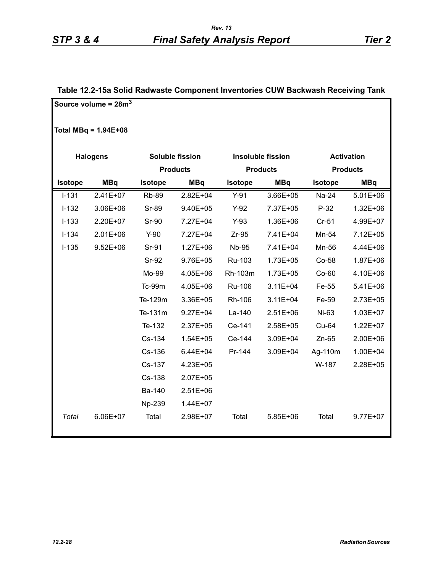### **Table 12.2-15a Solid Radwaste Component Inventories CUW Backwash Receiving Tank**

|                | Source volume = $28m3$ |                |                 |                |                          |                |                   |
|----------------|------------------------|----------------|-----------------|----------------|--------------------------|----------------|-------------------|
|                | Total MBq = $1.94E+08$ |                |                 |                |                          |                |                   |
|                | <b>Halogens</b>        |                | Soluble fission |                | <b>Insoluble fission</b> |                | <b>Activation</b> |
|                |                        |                | <b>Products</b> |                | <b>Products</b>          |                | <b>Products</b>   |
| <b>Isotope</b> | <b>MBq</b>             | <b>Isotope</b> | <b>MBq</b>      | <b>Isotope</b> | <b>MBq</b>               | <b>Isotope</b> | <b>MBq</b>        |
| $I - 131$      | $2.41E+07$             | <b>Rb-89</b>   | 2.82E+04        | $Y-91$         | 3.66E+05                 | Na-24          | $5.01E + 06$      |
| $I-132$        | 3.06E+06               | <b>Sr-89</b>   | 9.40E+05        | $Y-92$         | 7.37E+05                 | $P-32$         | $1.32E + 06$      |
| $I-133$        | 2.20E+07               | <b>Sr-90</b>   | 7.27E+04        | $Y-93$         | 1.36E+06                 | Cr-51          | 4.99E+07          |
| $I-134$        | 2.01E+06               | $Y-90$         | 7.27E+04        | $Zr-95$        | 7.41E+04                 | Mn-54          | 7.12E+05          |
| $I-135$        | $9.52E + 06$           | Sr-91          | $1.27E + 06$    | <b>Nb-95</b>   | 7.41E+04                 | Mn-56          | 4.44E+06          |
|                |                        | <b>Sr-92</b>   | 9.76E+05        | Ru-103         | $1.73E + 05$             | Co-58          | 1.87E+06          |
|                |                        | Mo-99          | 4.05E+06        | Rh-103m        | 1.73E+05                 | $Co-60$        | 4.10E+06          |
|                |                        | <b>Tc-99m</b>  | 4.05E+06        | Ru-106         | $3.11E + 04$             | Fe-55          | $5.41E + 06$      |
|                |                        | Te-129m        | 3.36E+05        | Rh-106         | $3.11E + 04$             | Fe-59          | 2.73E+05          |
|                |                        | Te-131m        | $9.27E + 04$    | La-140         | 2.51E+06                 | Ni-63          | $1.03E + 07$      |
|                |                        | Te-132         | 2.37E+05        | Ce-141         | 2.58E+05                 | Cu-64          | 1.22E+07          |
|                |                        | Cs-134         | $1.54E + 05$    | Ce-144         | 3.09E+04                 | $Zn-65$        | 2.00E+06          |
|                |                        | Cs-136         | $6.44E + 04$    | Pr-144         | 3.09E+04                 | Ag-110m        | 1.00E+04          |
|                |                        | Cs-137         | 4.23E+05        |                |                          | W-187          | 2.28E+05          |
|                |                        | Cs-138         | 2.07E+05        |                |                          |                |                   |
|                |                        | Ba-140         | 2.51E+06        |                |                          |                |                   |
|                |                        | Np-239         | 1.44E+07        |                |                          |                |                   |
| Total          | 6.06E+07               | Total          | 2.98E+07        | Total          | 5.85E+06                 | Total          | $9.77E + 07$      |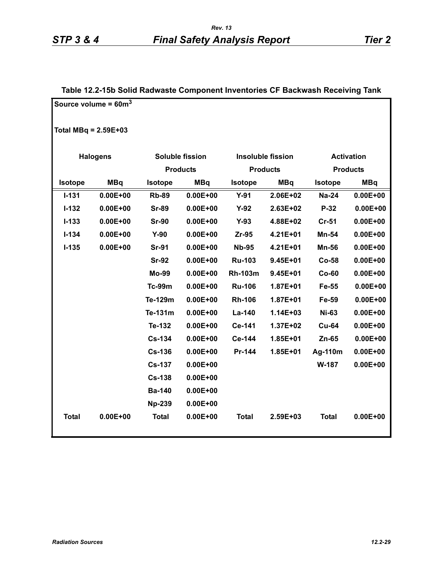|                        | Source volume = $60m^3$ |                |                 |                |                          |              |                   |
|------------------------|-------------------------|----------------|-----------------|----------------|--------------------------|--------------|-------------------|
| Total MBq = $2.59E+03$ |                         |                |                 |                |                          |              |                   |
|                        | <b>Halogens</b>         |                | Soluble fission |                | <b>Insoluble fission</b> |              | <b>Activation</b> |
|                        |                         |                | <b>Products</b> |                | <b>Products</b>          |              | <b>Products</b>   |
| Isotope                | <b>MBq</b>              | <b>Isotope</b> | <b>MBq</b>      | <b>Isotope</b> | <b>MBq</b>               | Isotope      | <b>MBq</b>        |
| $I-131$                | $0.00E + 00$            | <b>Rb-89</b>   | $0.00E + 00$    | $Y-91$         | $2.06E + 02$             | Na-24        | $0.00E + 00$      |
| $I-132$                | $0.00E + 00$            | <b>Sr-89</b>   | $0.00E + 00$    | $Y-92$         | 2.63E+02                 | P-32         | $0.00E + 00$      |
| $I - 133$              | $0.00E + 00$            | <b>Sr-90</b>   | $0.00E + 00$    | $Y-93$         | 4.88E+02                 | $Cr-51$      | $0.00E + 00$      |
| $I - 134$              | $0.00E + 00$            | $Y-90$         | $0.00E + 00$    | $Zr-95$        | 4.21E+01                 | Mn-54        | $0.00E + 00$      |
| $I-135$                | $0.00E + 00$            | <b>Sr-91</b>   | $0.00E + 00$    | <b>Nb-95</b>   | 4.21E+01                 | <b>Mn-56</b> | $0.00E + 00$      |
|                        |                         | <b>Sr-92</b>   | $0.00E + 00$    | <b>Ru-103</b>  | $9.45E + 01$             | $Co-58$      | $0.00E + 00$      |
|                        |                         | Mo-99          | $0.00E + 00$    | <b>Rh-103m</b> | $9.45E + 01$             | $Co-60$      | $0.00E + 00$      |
|                        |                         | <b>Tc-99m</b>  | $0.00E + 00$    | <b>Ru-106</b>  | 1.87E+01                 | Fe-55        | $0.00E + 00$      |
|                        |                         | Te-129m        | $0.00E + 00$    | <b>Rh-106</b>  | 1.87E+01                 | Fe-59        | $0.00E + 00$      |
|                        |                         | Te-131m        | $0.00E + 00$    | La-140         | 1.14E+03                 | <b>Ni-63</b> | $0.00E + 00$      |
|                        |                         | Te-132         | $0.00E + 00$    | Ce-141         | 1.37E+02                 | <b>Cu-64</b> | $0.00E + 00$      |
|                        |                         | <b>Cs-134</b>  | $0.00E + 00$    | Ce-144         | 1.85E+01                 | Zn-65        | $0.00E + 00$      |
|                        |                         | <b>Cs-136</b>  | $0.00E + 00$    | Pr-144         | $1.85E + 01$             | Ag-110m      | $0.00E + 00$      |
|                        |                         | <b>Cs-137</b>  | $0.00E + 00$    |                |                          | W-187        | $0.00E + 00$      |
|                        |                         | <b>Cs-138</b>  | $0.00E + 00$    |                |                          |              |                   |
|                        |                         | <b>Ba-140</b>  | $0.00E + 00$    |                |                          |              |                   |
|                        |                         | <b>Np-239</b>  | $0.00E + 00$    |                |                          |              |                   |
| <b>Total</b>           | $0.00E + 00$            | <b>Total</b>   | $0.00E + 00$    | <b>Total</b>   | 2.59E+03                 | <b>Total</b> | $0.00E + 00$      |

#### **Table 12.2-15b Solid Radwaste Component Inventories CF Backwash Receiving Tank**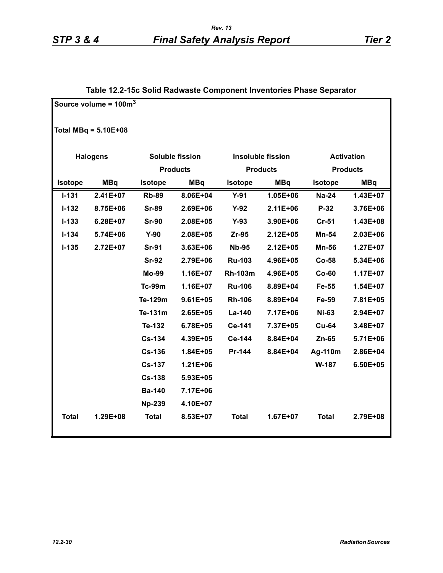|                | Source volume = $100m^3$ |                |                        |                |                          |                |                   |
|----------------|--------------------------|----------------|------------------------|----------------|--------------------------|----------------|-------------------|
|                | Total MBq = $5.10E+08$   |                |                        |                |                          |                |                   |
|                | <b>Halogens</b>          |                | <b>Soluble fission</b> |                | <b>Insoluble fission</b> |                | <b>Activation</b> |
|                |                          |                | <b>Products</b>        |                | <b>Products</b>          |                | <b>Products</b>   |
| <b>Isotope</b> | <b>MBq</b>               | <b>Isotope</b> | <b>MBq</b>             | <b>Isotope</b> | <b>MBq</b>               | <b>Isotope</b> | <b>MBq</b>        |
| $I - 131$      | 2.41E+07                 | <b>Rb-89</b>   | 8.06E+04               | $Y-91$         | $1.05E + 06$             | <b>Na-24</b>   | 1.43E+07          |
| $I-132$        | 8.75E+06                 | <b>Sr-89</b>   | 2.69E+06               | $Y-92$         | 2.11E+06                 | $P-32$         | 3.76E+06          |
| $I - 133$      | 6.28E+07                 | <b>Sr-90</b>   | 2.08E+05               | $Y-93$         | 3.90E+06                 | $Cr-51$        | 1.43E+08          |
| $I - 134$      | 5.74E+06                 | $Y-90$         | 2.08E+05               | Zr-95          | 2.12E+05                 | Mn-54          | 2.03E+06          |
| $I-135$        | 2.72E+07                 | <b>Sr-91</b>   | 3.63E+06               | <b>Nb-95</b>   | 2.12E+05                 | <b>Mn-56</b>   | 1.27E+07          |
|                |                          | <b>Sr-92</b>   | 2.79E+06               | <b>Ru-103</b>  | 4.96E+05                 | Co-58          | 5.34E+06          |
|                |                          | <b>Mo-99</b>   | 1.16E+07               | <b>Rh-103m</b> | 4.96E+05                 | $Co-60$        | 1.17E+07          |
|                |                          | <b>Tc-99m</b>  | 1.16E+07               | <b>Ru-106</b>  | 8.89E+04                 | Fe-55          | 1.54E+07          |
|                |                          | Te-129m        | $9.61E + 05$           | <b>Rh-106</b>  | 8.89E+04                 | Fe-59          | 7.81E+05          |
|                |                          | Te-131m        | $2.65E + 05$           | La-140         | 7.17E+06                 | <b>Ni-63</b>   | 2.94E+07          |
|                |                          | Te-132         | 6.78E+05               | Ce-141         | 7.37E+05                 | <b>Cu-64</b>   | 3.48E+07          |
|                |                          | <b>Cs-134</b>  | 4.39E+05               | Ce-144         | 8.84E+04                 | Zn-65          | 5.71E+06          |
|                |                          | <b>Cs-136</b>  | 1.84E+05               | Pr-144         | 8.84E+04                 | Ag-110m        | 2.86E+04          |
|                |                          | <b>Cs-137</b>  | $1.21E + 06$           |                |                          | W-187          | 6.50E+05          |
|                |                          | <b>Cs-138</b>  | 5.93E+05               |                |                          |                |                   |
|                |                          | <b>Ba-140</b>  | 7.17E+06               |                |                          |                |                   |
|                |                          | <b>Np-239</b>  | 4.10E+07               |                |                          |                |                   |
| <b>Total</b>   | 1.29E+08                 | <b>Total</b>   | 8.53E+07               | <b>Total</b>   | 1.67E+07                 | <b>Total</b>   | 2.79E+08          |

#### **Table 12.2-15c Solid Radwaste Component Inventories Phase Separator**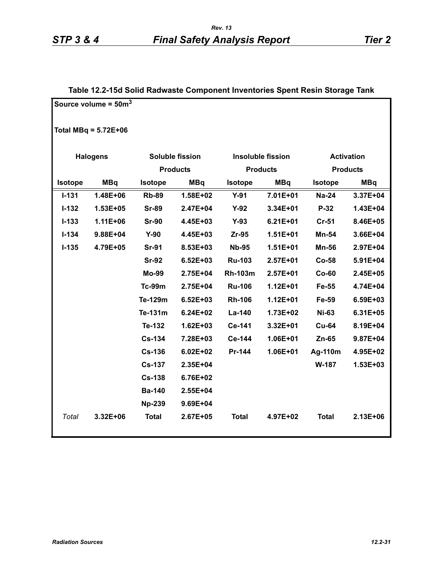|                | Source volume = $50\mathrm{m}^3$ |                |                        |                |                          |                |                   |
|----------------|----------------------------------|----------------|------------------------|----------------|--------------------------|----------------|-------------------|
|                | Total MBq = $5.72E+06$           |                |                        |                |                          |                |                   |
|                | <b>Halogens</b>                  |                | <b>Soluble fission</b> |                | <b>Insoluble fission</b> |                | <b>Activation</b> |
|                |                                  |                | <b>Products</b>        |                | <b>Products</b>          |                | <b>Products</b>   |
| <b>Isotope</b> | <b>MBq</b>                       | <b>Isotope</b> | <b>MBq</b>             | <b>Isotope</b> | <b>MBq</b>               | <b>Isotope</b> | <b>MBq</b>        |
| $I - 131$      | 1.48E+06                         | <b>Rb-89</b>   | 1.58E+02               | $Y-91$         | 7.01E+01                 | <b>Na-24</b>   | 3.37E+04          |
| $I-132$        | 1.53E+05                         | <b>Sr-89</b>   | 2.47E+04               | $Y-92$         | 3.34E+01                 | P-32           | 1.43E+04          |
| $I - 133$      | 1.11E+06                         | <b>Sr-90</b>   | 4.45E+03               | $Y-93$         | $6.21E + 01$             | $Cr-51$        | 8.46E+05          |
| $I - 134$      | 9.88E+04                         | $Y-90$         | 4.45E+03               | Zr-95          | 1.51E+01                 | Mn-54          | 3.66E+04          |
| $I - 135$      | 4.79E+05                         | <b>Sr-91</b>   | 8.53E+03               | <b>Nb-95</b>   | $1.51E + 01$             | <b>Mn-56</b>   | 2.97E+04          |
|                |                                  | <b>Sr-92</b>   | $6.52E + 03$           | <b>Ru-103</b>  | 2.57E+01                 | Co-58          | 5.91E+04          |
|                |                                  | <b>Mo-99</b>   | 2.75E+04               | <b>Rh-103m</b> | $2.57E + 01$             | $Co-60$        | 2.45E+05          |
|                |                                  | <b>Tc-99m</b>  | 2.75E+04               | <b>Ru-106</b>  | $1.12E + 01$             | Fe-55          | 4.74E+04          |
|                |                                  | Te-129m        | $6.52E + 03$           | <b>Rh-106</b>  | $1.12E + 01$             | Fe-59          | 6.59E+03          |
|                |                                  | Te-131m        | 6.24E+02               | La-140         | 1.73E+02                 | <b>Ni-63</b>   | 6.31E+05          |
|                |                                  | Te-132         | $1.62E + 03$           | Ce-141         | 3.32E+01                 | <b>Cu-64</b>   | 8.19E+04          |
|                |                                  | <b>Cs-134</b>  | 7.28E+03               | Ce-144         | 1.06E+01                 | Zn-65          | 9.87E+04          |
|                |                                  | <b>Cs-136</b>  | $6.02E + 02$           | Pr-144         | 1.06E+01                 | Ag-110m        | 4.95E+02          |
|                |                                  | <b>Cs-137</b>  | 2.35E+04               |                |                          | W-187          | 1.53E+03          |
|                |                                  | <b>Cs-138</b>  | 6.76E+02               |                |                          |                |                   |
|                |                                  | <b>Ba-140</b>  | 2.55E+04               |                |                          |                |                   |
|                |                                  | <b>Np-239</b>  | 9.69E+04               |                |                          |                |                   |
| Total          | 3.32E+06                         | <b>Total</b>   | 2.67E+05               | <b>Total</b>   | 4.97E+02                 | <b>Total</b>   | 2.13E+06          |

## **Table 12.2-15d Solid Radwaste Component Inventories Spent Resin Storage Tank**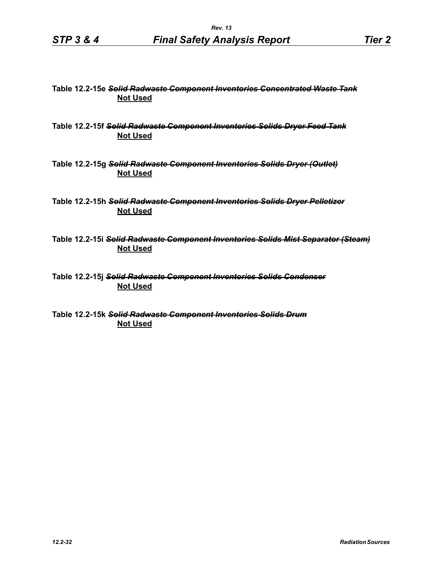#### **Table 12.2-15e** *Solid Radwaste Component Inventories Concentrated Waste Tank* **Not Used**

**Table 12.2-15f** *Solid Radwaste Component Inventories Solids Dryer Feed Tank* **Not Used**

**Table 12.2-15g** *Solid Radwaste Component Inventories Solids Dryer (Outlet)* **Not Used**

**Table 12.2-15h** *Solid Radwaste Component Inventories Solids Dryer Pelletizer* **Not Used**

**Table 12.2-15i** *Solid Radwaste Component Inventories Solids Mist Separator (Steam)* **Not Used**

**Table 12.2-15j** *Solid Radwaste Component Inventories Solids Condenser* **Not Used**

**Table 12.2-15k** *Solid Radwaste Component Inventories Solids Drum* **Not Used**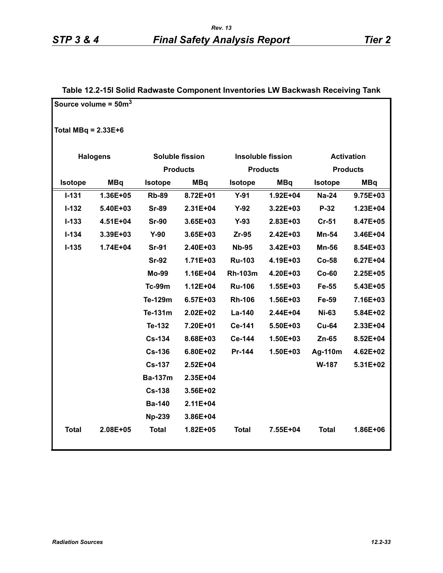|                       | Source volume = $50m^3$ |                |                        |                |                          |                   |              |
|-----------------------|-------------------------|----------------|------------------------|----------------|--------------------------|-------------------|--------------|
| Total MBq = $2.33E+6$ |                         |                |                        |                |                          |                   |              |
|                       | <b>Halogens</b>         |                | <b>Soluble fission</b> |                | <b>Insoluble fission</b> | <b>Activation</b> |              |
|                       |                         |                | <b>Products</b>        |                | <b>Products</b>          | <b>Products</b>   |              |
| Isotope               | <b>MBq</b>              | <b>Isotope</b> | <b>MBq</b>             | Isotope        | <b>MBq</b>               | <b>Isotope</b>    | <b>MBq</b>   |
| $I - 131$             | 1.36E+05                | <b>Rb-89</b>   | 8.72E+01               | $Y-91$         | 1.92E+04                 | <b>Na-24</b>      | 9.75E+03     |
| $I - 132$             | 5.40E+03                | <b>Sr-89</b>   | 2.31E+04               | $Y-92$         | 3.22E+03                 | P-32              | 1.23E+04     |
| $I - 133$             | 4.51E+04                | <b>Sr-90</b>   | 3.65E+03               | $Y-93$         | 2.83E+03                 | $Cr-51$           | 8.47E+05     |
| $I-134$               | 3.39E+03                | $Y-90$         | 3.65E+03               | $Zr-95$        | 2.42E+03                 | Mn-54             | 3.46E+04     |
| $I-135$               | 1.74E+04                | <b>Sr-91</b>   | 2.40E+03               | <b>Nb-95</b>   | 3.42E+03                 | <b>Mn-56</b>      | 8.54E+03     |
|                       |                         | <b>Sr-92</b>   | 1.71E+03               | <b>Ru-103</b>  | 4.19E+03                 | $Co-58$           | $6.27E + 04$ |
|                       |                         | Mo-99          | 1.16E+04               | <b>Rh-103m</b> | 4.20E+03                 | $Co-60$           | 2.25E+05     |
|                       |                         | <b>Tc-99m</b>  | $1.12E + 04$           | <b>Ru-106</b>  | 1.55E+03                 | Fe-55             | 5.43E+05     |
|                       |                         | Te-129m        | $6.57E + 03$           | <b>Rh-106</b>  | 1.56E+03                 | Fe-59             | 7.16E+03     |
|                       |                         | Te-131m        | $2.02E + 02$           | La-140         | 2.44E+04                 | <b>Ni-63</b>      | 5.84E+02     |
|                       |                         | Te-132         | 7.20E+01               | Ce-141         | 5.50E+03                 | <b>Cu-64</b>      | 2.33E+04     |
|                       |                         | <b>Cs-134</b>  | 8.68E+03               | Ce-144         | 1.50E+03                 | $Zn-65$           | 8.52E+04     |
|                       |                         | <b>Cs-136</b>  | 6.80E+02               | Pr-144         | 1.50E+03                 | Ag-110m           | 4.62E+02     |
|                       |                         | <b>Cs-137</b>  | $2.52E + 04$           |                |                          | W-187             | 5.31E+02     |
|                       |                         | <b>Ba-137m</b> | 2.35E+04               |                |                          |                   |              |
|                       |                         | <b>Cs-138</b>  | 3.56E+02               |                |                          |                   |              |
|                       |                         | <b>Ba-140</b>  | $2.11E + 04$           |                |                          |                   |              |
|                       |                         | <b>Np-239</b>  | 3.86E+04               |                |                          |                   |              |
| <b>Total</b>          | 2.08E+05                | <b>Total</b>   | 1.82E+05               | <b>Total</b>   | 7.55E+04                 | <b>Total</b>      | 1.86E+06     |
|                       |                         |                |                        |                |                          |                   |              |

#### **Table 12.2-15l Solid Radwaste Component Inventories LW Backwash Receiving Tank**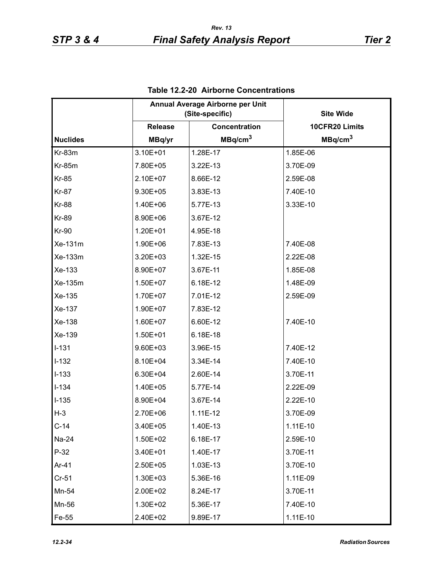|                 | Annual Average Airborne per Unit<br>(Site-specific) |                     | <b>Site Wide</b>    |
|-----------------|-----------------------------------------------------|---------------------|---------------------|
|                 | <b>Release</b>                                      | Concentration       | 10CFR20 Limits      |
| <b>Nuclides</b> | MBq/yr                                              | MBq/cm <sup>3</sup> | MBq/cm <sup>3</sup> |
| $Kr-83m$        | 3.10E+01                                            | 1.28E-17            | 1.85E-06            |
| <b>Kr-85m</b>   | 7.80E+05                                            | 3.22E-13            | 3.70E-09            |
| <b>Kr-85</b>    | 2.10E+07                                            | 8.66E-12            | 2.59E-08            |
| <b>Kr-87</b>    | 9.30E+05                                            | 3.83E-13            | 7.40E-10            |
| <b>Kr-88</b>    | 1.40E+06                                            | 5.77E-13            | 3.33E-10            |
| <b>Kr-89</b>    | 8.90E+06                                            | 3.67E-12            |                     |
| <b>Kr-90</b>    | 1.20E+01                                            | 4.95E-18            |                     |
| Xe-131m         | 1.90E+06                                            | 7.83E-13            | 7.40E-08            |
| Xe-133m         | 3.20E+03                                            | 1.32E-15            | 2.22E-08            |
| Xe-133          | 8.90E+07                                            | 3.67E-11            | 1.85E-08            |
| Xe-135m         | 1.50E+07                                            | 6.18E-12            | 1.48E-09            |
| Xe-135          | 1.70E+07                                            | 7.01E-12            | 2.59E-09            |
| Xe-137          | 1.90E+07                                            | 7.83E-12            |                     |
| Xe-138          | 1.60E+07                                            | 6.60E-12            | 7.40E-10            |
| Xe-139          | 1.50E+01                                            | 6.18E-18            |                     |
| $I-131$         | 9.60E+03                                            | 3.96E-15            | 7.40E-12            |
| $I-132$         | 8.10E+04                                            | 3.34E-14            | 7.40E-10            |
| $I-133$         | 6.30E+04                                            | 2.60E-14            | 3.70E-11            |
| $I - 134$       | 1.40E+05                                            | 5.77E-14            | 2.22E-09            |
| $I-135$         | 8.90E+04                                            | 3.67E-14            | 2.22E-10            |
| $H-3$           | 2.70E+06                                            | $1.11E-12$          | 3.70E-09            |
| $C-14$          | 3.40E+05                                            | 1.40E-13            | 1.11E-10            |
| Na-24           | 1.50E+02                                            | 6.18E-17            | 2.59E-10            |
| $P-32$          | 3.40E+01                                            | 1.40E-17            | 3.70E-11            |
| Ar-41           | 2.50E+05                                            | 1.03E-13            | 3.70E-10            |
| $Cr-51$         | 1.30E+03                                            | 5.36E-16            | 1.11E-09            |
| Mn-54           | 2.00E+02                                            | 8.24E-17            | 3.70E-11            |
| Mn-56           | 1.30E+02                                            | 5.36E-17            | 7.40E-10            |
| Fe-55           | 2.40E+02                                            | 9.89E-17            | 1.11E-10            |

**Table 12.2-20 Airborne Concentrations**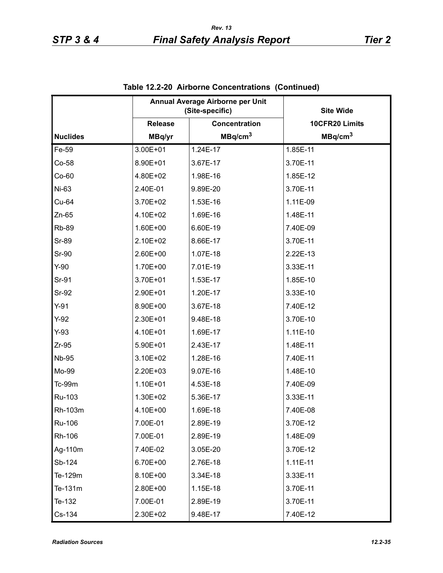|                 |                | Annual Average Airborne per Unit<br>(Site-specific) | <b>Site Wide</b>    |
|-----------------|----------------|-----------------------------------------------------|---------------------|
|                 | <b>Release</b> | Concentration                                       | 10CFR20 Limits      |
| <b>Nuclides</b> | MBq/yr         | MBq/cm <sup>3</sup>                                 | MBq/cm <sup>3</sup> |
| Fe-59           | 3.00E+01       | 1.24E-17                                            | 1.85E-11            |
| Co-58           | 8.90E+01       | 3.67E-17                                            | 3.70E-11            |
| $Co-60$         | 4.80E+02       | 1.98E-16                                            | 1.85E-12            |
| Ni-63           | 2.40E-01       | 9.89E-20                                            | 3.70E-11            |
| Cu-64           | 3.70E+02       | 1.53E-16                                            | 1.11E-09            |
| $Zn-65$         | 4.10E+02       | 1.69E-16                                            | 1.48E-11            |
| <b>Rb-89</b>    | 1.60E+00       | 6.60E-19                                            | 7.40E-09            |
| <b>Sr-89</b>    | 2.10E+02       | 8.66E-17                                            | 3.70E-11            |
| <b>Sr-90</b>    | 2.60E+00       | 1.07E-18                                            | 2.22E-13            |
| $Y-90$          | 1.70E+00       | 7.01E-19                                            | 3.33E-11            |
| Sr-91           | 3.70E+01       | 1.53E-17                                            | 1.85E-10            |
| <b>Sr-92</b>    | 2.90E+01       | 1.20E-17                                            | 3.33E-10            |
| $Y-91$          | 8.90E+00       | 3.67E-18                                            | 7.40E-12            |
| $Y-92$          | 2.30E+01       | 9.48E-18                                            | 3.70E-10            |
| $Y-93$          | 4.10E+01       | 1.69E-17                                            | 1.11E-10            |
| $Zr-95$         | 5.90E+01       | 2.43E-17                                            | 1.48E-11            |
| <b>Nb-95</b>    | 3.10E+02       | 1.28E-16                                            | 7.40E-11            |
| Mo-99           | 2.20E+03       | 9.07E-16                                            | 1.48E-10            |
| Tc-99m          | 1.10E+01       | 4.53E-18                                            | 7.40E-09            |
| Ru-103          | 1.30E+02       | 5.36E-17                                            | 3.33E-11            |
| Rh-103m         | 4.10E+00       | 1.69E-18                                            | 7.40E-08            |
| Ru-106          | 7.00E-01       | 2.89E-19                                            | 3.70E-12            |
| Rh-106          | 7.00E-01       | 2.89E-19                                            | 1.48E-09            |
| Ag-110m         | 7.40E-02       | 3.05E-20                                            | 3.70E-12            |
| Sb-124          | 6.70E+00       | 2.76E-18                                            | $1.11E-11$          |
| Te-129m         | 8.10E+00       | 3.34E-18                                            | 3.33E-11            |
| Te-131m         | 2.80E+00       | 1.15E-18                                            | 3.70E-11            |
| Te-132          | 7.00E-01       | 2.89E-19                                            | 3.70E-11            |
| Cs-134          | 2.30E+02       | 9.48E-17                                            | 7.40E-12            |

**Table 12.2-20 Airborne Concentrations (Continued)**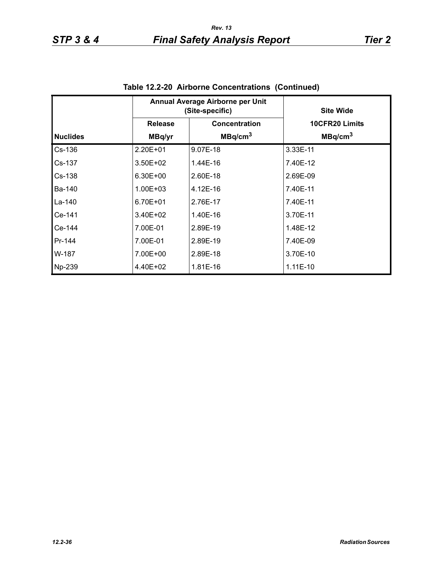|                 |                | Annual Average Airborne per Unit<br>(Site-specific) | <b>Site Wide</b>      |  |
|-----------------|----------------|-----------------------------------------------------|-----------------------|--|
|                 | <b>Release</b> | Concentration                                       | <b>10CFR20 Limits</b> |  |
| <b>Nuclides</b> | MBq/yr         | MBq/cm <sup>3</sup>                                 | MBq/cm <sup>3</sup>   |  |
| $Cs-136$        | 2.20E+01       | 9.07E-18                                            | 3.33E-11              |  |
| Cs-137          | $3.50E + 02$   | 1.44E-16                                            | 7.40E-12              |  |
| $Cs-138$        | 6.30E+00       | 2.60E-18                                            | 2.69E-09              |  |
| Ba-140          | 1.00E+03       | 4.12E-16                                            | 7.40E-11              |  |
| La-140          | 6.70E+01       | 2.76E-17                                            | 7.40E-11              |  |
| Ce-141          | 3.40E+02       | 1.40E-16                                            | 3.70E-11              |  |
| Ce-144          | 7.00E-01       | 2.89E-19                                            | 1.48E-12              |  |
| Pr-144          | 7.00E-01       | 2.89E-19                                            | 7.40E-09              |  |
| W-187           | 7.00E+00       | 2.89E-18                                            | 3.70E-10              |  |
| Np-239          | 4.40E+02       | 1.81E-16                                            | $1.11E-10$            |  |

**Table 12.2-20 Airborne Concentrations (Continued)**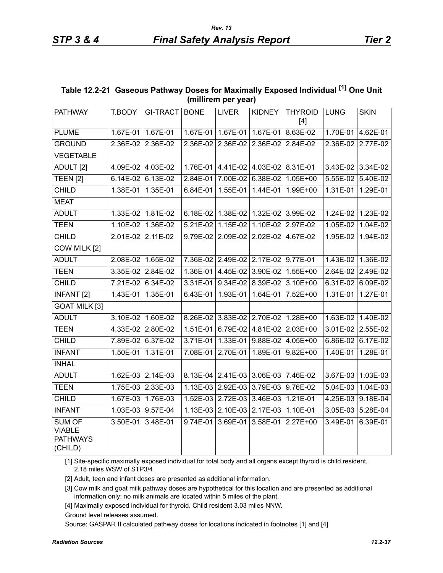| Table 12.2-21 Gaseous Pathway Doses for Maximally Exposed Individual [1] One Unit |
|-----------------------------------------------------------------------------------|
| (millirem per year)                                                               |

| <b>PATHWAY</b>                                               | T.BODY   | GI-TRACT BONE     |            | <b>LIVER</b>                        | <b>KIDNEY</b>       | <b>THYROID</b><br>$[4]$ | <b>LUNG</b> | <b>SKIN</b>       |
|--------------------------------------------------------------|----------|-------------------|------------|-------------------------------------|---------------------|-------------------------|-------------|-------------------|
| <b>PLUME</b>                                                 | 1.67E-01 | 1.67E-01          | 1.67E-01   | 1.67E-01                            | 1.67E-01            | 8.63E-02                | 1.70E-01    | 4.62E-01          |
| <b>GROUND</b>                                                | 2.36E-02 | 2.36E-02          | 2.36E-02   | 2.36E-02                            | 2.36E-02            | 2.84E-02                | 2.36E-02    | 2.77E-02          |
| <b>VEGETABLE</b>                                             |          |                   |            |                                     |                     |                         |             |                   |
| ADULT <sub>[2]</sub>                                         |          | 4.09E-02 4.03E-02 | 1.76E-01   |                                     | 4.41E-02 4.03E-02   | 8.31E-01                | 3.43E-02    | 3.34E-02          |
| <b>TEEN [2]</b>                                              | 6.14E-02 | $6.13E-02$        | 2.84E-01   | 7.00E-02                            | 6.38E-02            | $1.05E + 00$            | 5.55E-02    | 5.40E-02          |
| <b>CHILD</b>                                                 | 1.38E-01 | 1.35E-01          | 6.84E-01   | 1.55E-01                            | 1.44E-01            | 1.99E+00                | 1.31E-01    | 1.29E-01          |
| <b>MEAT</b>                                                  |          |                   |            |                                     |                     |                         |             |                   |
| <b>ADULT</b>                                                 | 1.33E-02 | 1.81E-02          | 6.18E-02   |                                     | 1.38E-02   1.32E-02 | $3.99E-02$              | 1.24E-02    | 1.23E-02          |
| <b>TEEN</b>                                                  | 1.10E-02 | 1.36E-02          | 5.21E-02   | 1.15E-02                            | 1.10E-02            | 2.97E-02                | $1.05E-02$  | 1.04E-02          |
| <b>CHILD</b>                                                 | 2.01E-02 | 2.11E-02          | 9.79E-02   | 2.09E-02                            | 2.02E-02            | 4.67E-02                | 1.95E-02    | 1.94E-02          |
| COW MILK [2]                                                 |          |                   |            |                                     |                     |                         |             |                   |
| <b>ADULT</b>                                                 | 2.08E-02 | 1.65E-02          |            | 7.36E-02 2.49E-02 2.17E-02 9.77E-01 |                     |                         | 1.43E-02    | 1.36E-02          |
| <b>TEEN</b>                                                  | 3.35E-02 | 2.84E-02          | 1.36E-01   | 4.45E-02                            | 3.90E-02            | $1.55E + 00$            | 2.64E-02    | 2.49E-02          |
| <b>CHILD</b>                                                 |          | 7.21E-02 6.34E-02 | 3.31E-01   | $9.34E-02$                          | 8.39E-02            | 3.10E+00                | 6.31E-02    | 6.09E-02          |
| <b>INFANT [2]</b>                                            | 1.43E-01 | 1.35E-01          | 6.43E-01   | 1.93E-01                            | 1.64E-01            | 7.52E+00                | 1.31E-01    | 1.27E-01          |
| <b>GOAT MILK [3]</b>                                         |          |                   |            |                                     |                     |                         |             |                   |
| <b>ADULT</b>                                                 | 3.10E-02 | $1.60E - 02$      | 8.26E-02   |                                     | 3.83E-02 2.70E-02   | $1.28E+00$              | $1.63E-02$  | 1.40E-02          |
| <b>TEEN</b>                                                  |          | 4.33E-02 2.80E-02 | 1.51E-01   | 6.79E-02                            | 4.81E-02            | $2.03E + 00$            | 3.01E-02    | 2.55E-02          |
| <b>CHILD</b>                                                 | 7.89E-02 | 6.37E-02          | 3.71E-01   | 1.33E-01                            | 9.88E-02            | $4.05E + 00$            | 6.86E-02    | 6.17E-02          |
| <b>INFANT</b>                                                | 1.50E-01 | 1.31E-01          | 7.08E-01   | 2.70E-01                            | 1.89E-01            | $9.82E + 00$            | 1.40E-01    | 1.28E-01          |
| <b>INHAL</b>                                                 |          |                   |            |                                     |                     |                         |             |                   |
| <b>ADULT</b>                                                 |          | 1.62E-03 2.14E-03 | 8.13E-04   | 2.41E-03                            | 3.06E-03            | 7.46E-02                | 3.67E-03    | 1.03E-03          |
| <b>TEEN</b>                                                  |          | 1.75E-03 2.33E-03 | $1.13E-03$ | 2.92E-03                            | 3.79E-03            | $9.76E-02$              | $5.04E-03$  | $1.04E-03$        |
| <b>CHILD</b>                                                 |          | 1.67E-03 1.76E-03 |            | 1.52E-03 2.72E-03 3.46E-03          |                     | 1.21E-01                |             | 4.25E-03 9.18E-04 |
| <b>INFANT</b>                                                |          | 1.03E-03 9.57E-04 | $1.13E-03$ |                                     | 2.10E-03 2.17E-03   | 1.10E-01                | 3.05E-03    | 5.28E-04          |
| <b>SUM OF</b><br><b>VIABLE</b><br><b>PATHWAYS</b><br>(CHILD) | 3.50E-01 | 3.48E-01          | 9.74E-01   | 3.69E-01                            | 3.58E-01            | $2.27E+00$              | 3.49E-01    | 6.39E-01          |

[1] Site-specific maximally exposed individual for total body and all organs except thyroid is child resident, 2.18 miles WSW of STP3/4.

[2] Adult, teen and infant doses are presented as additional information.

[3] Cow milk and goat milk pathway doses are hypothetical for this location and are presented as additional information only; no milk animals are located within 5 miles of the plant.

[4] Maximally exposed individual for thyroid. Child resident 3.03 miles NNW.

Ground level releases assumed.

Source: GASPAR II calculated pathway doses for locations indicated in footnotes [1] and [4]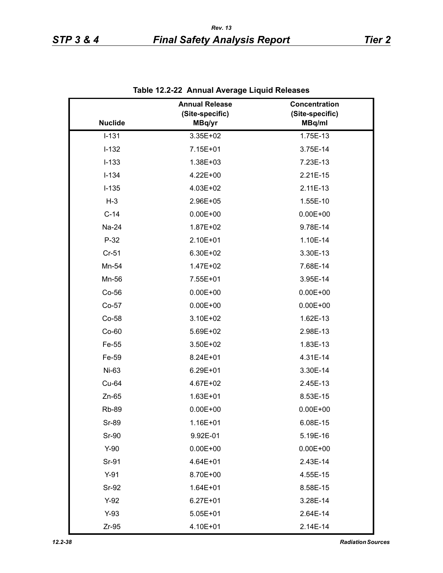|                | <b>Annual Release</b><br>(Site-specific) | Concentration<br>(Site-specific) |
|----------------|------------------------------------------|----------------------------------|
| <b>Nuclide</b> | MBq/yr                                   | MBq/ml                           |
| $I-131$        | 3.35E+02                                 | 1.75E-13                         |
| $I-132$        | 7.15E+01                                 | 3.75E-14                         |
| $I-133$        | 1.38E+03                                 | 7.23E-13                         |
| $I-134$        | 4.22E+00                                 | 2.21E-15                         |
| $I-135$        | 4.03E+02                                 | $2.11E-13$                       |
| $H-3$          | 2.96E+05                                 | 1.55E-10                         |
| $C-14$         | $0.00E + 00$                             | $0.00E + 00$                     |
| Na-24          | 1.87E+02                                 | 9.78E-14                         |
| $P-32$         | 2.10E+01                                 | 1.10E-14                         |
| $Cr-51$        | 6.30E+02                                 | 3.30E-13                         |
| Mn-54          | 1.47E+02                                 | 7.68E-14                         |
| Mn-56          | 7.55E+01                                 | 3.95E-14                         |
| Co-56          | $0.00E + 00$                             | $0.00E + 00$                     |
| Co-57          | $0.00E + 00$                             | $0.00E + 00$                     |
| Co-58          | 3.10E+02                                 | 1.62E-13                         |
| $Co-60$        | 5.69E+02                                 | 2.98E-13                         |
| Fe-55          | 3.50E+02                                 | 1.83E-13                         |
| Fe-59          | 8.24E+01                                 | 4.31E-14                         |
| Ni-63          | 6.29E+01                                 | 3.30E-14                         |
| Cu-64          | 4.67E+02                                 | 2.45E-13                         |
| $Zn-65$        | 1.63E+01                                 | 8.53E-15                         |
| <b>Rb-89</b>   | $0.00E + 00$                             | $0.00E + 00$                     |
| Sr-89          | 1.16E+01                                 | 6.08E-15                         |
| Sr-90          | 9.92E-01                                 | 5.19E-16                         |
| $Y-90$         | $0.00E + 00$                             | $0.00E + 00$                     |
| Sr-91          | 4.64E+01                                 | 2.43E-14                         |
| $Y-91$         | 8.70E+00                                 | 4.55E-15                         |
| Sr-92          | $1.64E + 01$                             | 8.58E-15                         |
| $Y-92$         | $6.27E + 01$                             | 3.28E-14                         |
| $Y-93$         | $5.05E + 01$                             | 2.64E-14                         |
| $Zr-95$        | 4.10E+01                                 | 2.14E-14                         |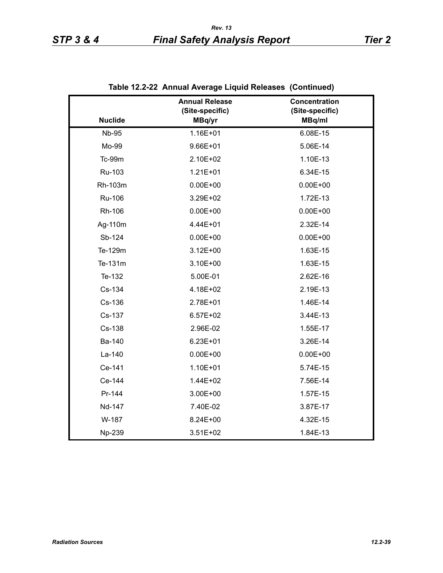|                | Alliaal Average Eiguld Releases (Commaca) |                                  |
|----------------|-------------------------------------------|----------------------------------|
|                | <b>Annual Release</b><br>(Site-specific)  | Concentration<br>(Site-specific) |
| <b>Nuclide</b> | MBq/yr                                    | MBq/ml                           |
| <b>Nb-95</b>   | 1.16E+01                                  | 6.08E-15                         |
| Mo-99          | $9.66E + 01$                              | 5.06E-14                         |
| Tc-99m         | 2.10E+02                                  | 1.10E-13                         |
| Ru-103         | $1.21E + 01$                              | 6.34E-15                         |
| Rh-103m        | $0.00E + 00$                              | $0.00E + 00$                     |
| <b>Ru-106</b>  | 3.29E+02                                  | 1.72E-13                         |
| Rh-106         | $0.00E + 00$                              | $0.00E + 00$                     |
| Ag-110m        | 4.44E+01                                  | 2.32E-14                         |
| Sb-124         | $0.00E + 00$                              | $0.00E + 00$                     |
| Te-129m        | $3.12E + 00$                              | 1.63E-15                         |
| Te-131m        | 3.10E+00                                  | 1.63E-15                         |
| Te-132         | 5.00E-01                                  | 2.62E-16                         |
| Cs-134         | 4.18E+02                                  | 2.19E-13                         |
| Cs-136         | 2.78E+01                                  | 1.46E-14                         |
| Cs-137         | $6.57E + 02$                              | 3.44E-13                         |
| Cs-138         | 2.96E-02                                  | 1.55E-17                         |
| Ba-140         | $6.23E + 01$                              | 3.26E-14                         |
| La-140         | $0.00E + 00$                              | $0.00E + 00$                     |
| Ce-141         | $1.10E + 01$                              | 5.74E-15                         |
| Ce-144         | 1.44E+02                                  | 7.56E-14                         |
| Pr-144         | 3.00E+00                                  | 1.57E-15                         |
| Nd-147         | 7.40E-02                                  | 3.87E-17                         |
| W-187          | 8.24E+00                                  | 4.32E-15                         |
| Np-239         | 3.51E+02                                  | 1.84E-13                         |

**Table 12.2-22 Annual Average Liquid Releases (Continued)**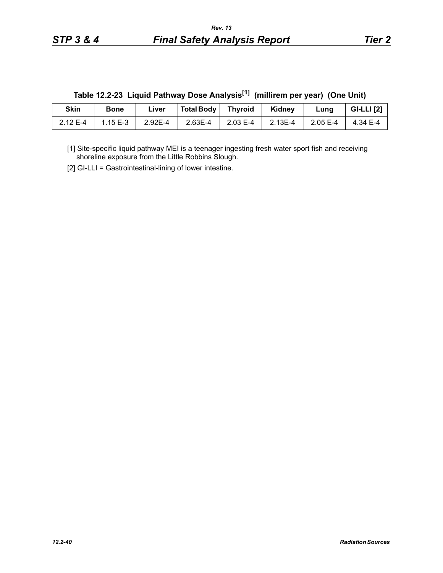|  |  | Table 12.2-23 Liquid Pathway Dose Analysis <sup>[1]</sup> (millirem per year) (One Unit) |  |
|--|--|------------------------------------------------------------------------------------------|--|
|--|--|------------------------------------------------------------------------------------------|--|

| Skin     | <b>Bone</b> | ∟iver   | Total Body   Thyroid |          | Kidney  | Lung     | <b>GI-LLI</b> [2] |
|----------|-------------|---------|----------------------|----------|---------|----------|-------------------|
| 2.12 E-4 | $1.15E-3$   | 2.92E-4 | 2.63E-4              | 2.03 E-4 | 2.13E-4 | 2.05 E-4 | 4.34 E-4          |

[1] Site-specific liquid pathway MEI is a teenager ingesting fresh water sport fish and receiving shoreline exposure from the Little Robbins Slough.

[2] GI-LLI = Gastrointestinal-lining of lower intestine.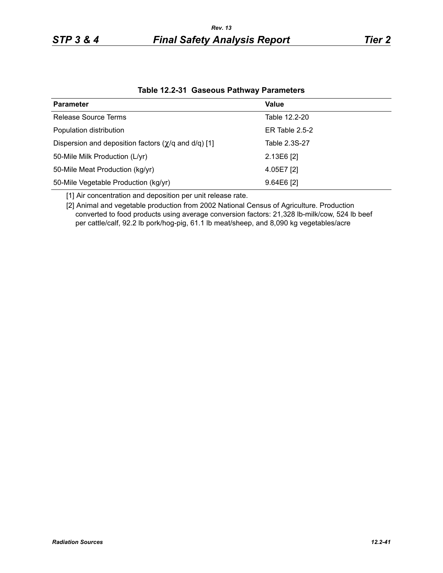| <b>Parameter</b>                                                  | Value            |
|-------------------------------------------------------------------|------------------|
| Release Source Terms                                              | Table 12.2-20    |
| Population distribution                                           | ER Table $2.5-2$ |
| Dispersion and deposition factors $(\chi/q \text{ and } d/q)$ [1] | Table 2.3S-27    |
| 50-Mile Milk Production (L/yr)                                    | 2.13E6 [2]       |
| 50-Mile Meat Production (kg/yr)                                   | $4.05E7$ [2]     |
| 50-Mile Vegetable Production (kg/yr)                              | $9.64E6$ [2]     |

**Table 12.2-31 Gaseous Pathway Parameters**

[1] Air concentration and deposition per unit release rate.

[2] Animal and vegetable production from 2002 National Census of Agriculture. Production converted to food products using average conversion factors: 21,328 lb-milk/cow, 524 lb beef per cattle/calf, 92.2 lb pork/hog-pig, 61.1 lb meat/sheep, and 8,090 kg vegetables/acre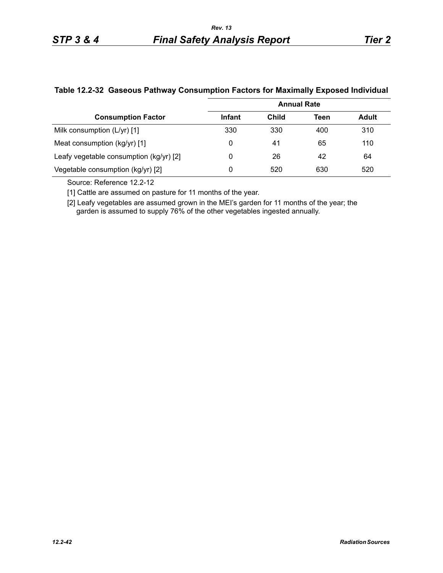|                                         | <b>Annual Rate</b> |       |      |              |  |  |
|-----------------------------------------|--------------------|-------|------|--------------|--|--|
| <b>Consumption Factor</b>               | Infant             | Child | Teen | <b>Adult</b> |  |  |
| Milk consumption $(L/yr)$ [1]           | 330                | 330   | 400  | 310          |  |  |
| Meat consumption (kg/yr) [1]            | 0                  | 41    | 65   | 110          |  |  |
| Leafy vegetable consumption (kg/yr) [2] | 0                  | 26    | 42   | 64           |  |  |
| Vegetable consumption (kg/yr) [2]       | 0                  | 520   | 630  | 520          |  |  |

#### **Table 12.2-32 Gaseous Pathway Consumption Factors for Maximally Exposed Individual**

Source: Reference 12.2-12

[1] Cattle are assumed on pasture for 11 months of the year.

[2] Leafy vegetables are assumed grown in the MEI's garden for 11 months of the year; the garden is assumed to supply 76% of the other vegetables ingested annually.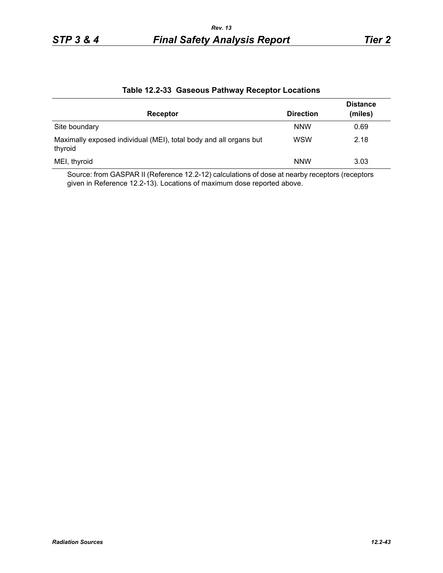| Receptor                                                                     | <b>Direction</b> | <b>Distance</b><br>(miles) |
|------------------------------------------------------------------------------|------------------|----------------------------|
| Site boundary                                                                | <b>NNW</b>       | 0.69                       |
| Maximally exposed individual (MEI), total body and all organs but<br>thyroid | <b>WSW</b>       | 2.18                       |
| MEI, thyroid                                                                 | <b>NNW</b>       | 3.03                       |

#### **Table 12.2-33 Gaseous Pathway Receptor Locations**

Source: from GASPAR II (Reference 12.2-12) calculations of dose at nearby receptors (receptors given in Reference 12.2-13). Locations of maximum dose reported above.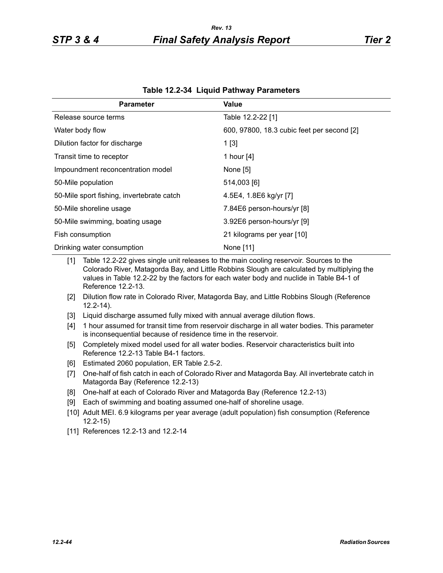| <b>Parameter</b>                          | Value                                      |
|-------------------------------------------|--------------------------------------------|
| Release source terms                      | Table 12.2-22 [1]                          |
| Water body flow                           | 600, 97800, 18.3 cubic feet per second [2] |
| Dilution factor for discharge             | 1[3]                                       |
| Transit time to receptor                  | 1 hour [4]                                 |
| Impoundment reconcentration model         | None [5]                                   |
| 50-Mile population                        | 514,003 [6]                                |
| 50-Mile sport fishing, invertebrate catch | 4.5E4, 1.8E6 kg/yr [7]                     |
| 50-Mile shoreline usage                   | 7.84E6 person-hours/yr [8]                 |
| 50-Mile swimming, boating usage           | 3.92E6 person-hours/yr [9]                 |
| Fish consumption                          | 21 kilograms per year [10]                 |
| Drinking water consumption                | None [11]                                  |

|  | Table 12.2-34 Liquid Pathway Parameters |  |
|--|-----------------------------------------|--|
|--|-----------------------------------------|--|

[1] Table 12.2-22 gives single unit releases to the main cooling reservoir. Sources to the Colorado River, Matagorda Bay, and Little Robbins Slough are calculated by multiplying the values in Table 12.2-22 by the factors for each water body and nuclide in Table B4-1 of Reference 12.2-13.

- [2] Dilution flow rate in Colorado River, Matagorda Bay, and Little Robbins Slough (Reference 12.2-14).
- [3] Liquid discharge assumed fully mixed with annual average dilution flows.
- [4] 1 hour assumed for transit time from reservoir discharge in all water bodies. This parameter is inconsequential because of residence time in the reservoir.
- [5] Completely mixed model used for all water bodies. Reservoir characteristics built into Reference 12.2-13 Table B4-1 factors.
- [6] Estimated 2060 population, ER Table 2.5-2.
- [7] One-half of fish catch in each of Colorado River and Matagorda Bay. All invertebrate catch in Matagorda Bay (Reference 12.2-13)
- [8] One-half at each of Colorado River and Matagorda Bay (Reference 12.2-13)
- [9] Each of swimming and boating assumed one-half of shoreline usage.
- [10] Adult MEI. 6.9 kilograms per year average (adult population) fish consumption (Reference 12.2-15)
- [11] References 12.2-13 and 12.2-14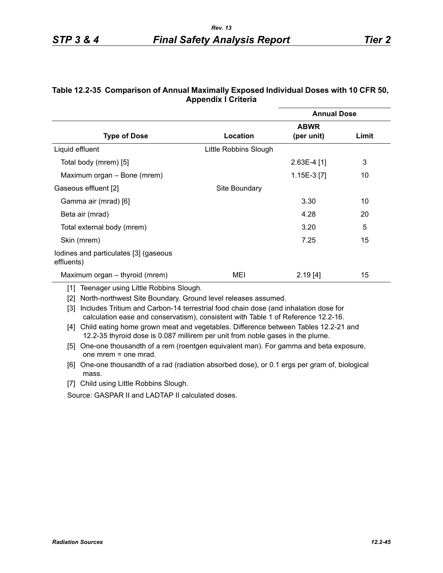| Table 12.2-35 Comparison of Annual Maximally Exposed Individual Doses with 10 CFR 50, |
|---------------------------------------------------------------------------------------|
| <b>Appendix I Criteria</b>                                                            |

|                                                     |                       | <b>Annual Dose</b> |       |  |  |  |
|-----------------------------------------------------|-----------------------|--------------------|-------|--|--|--|
|                                                     | <b>ABWR</b>           |                    |       |  |  |  |
| <b>Type of Dose</b>                                 | Location              | (per unit)         | Limit |  |  |  |
| Liquid effluent                                     | Little Robbins Slough |                    |       |  |  |  |
| Total body (mrem) [5]                               |                       | $2.63E-4$ [1]      | 3     |  |  |  |
| Maximum organ - Bone (mrem)                         |                       | $1.15E-3$ [7]      | 10    |  |  |  |
| Gaseous effluent [2]                                | Site Boundary         |                    |       |  |  |  |
| Gamma air (mrad) [6]                                |                       | 3.30               | 10    |  |  |  |
| Beta air (mrad)                                     |                       | 4.28               | 20    |  |  |  |
| Total external body (mrem)                          |                       | 3.20               | 5     |  |  |  |
| Skin (mrem)                                         |                       | 7.25               | 15    |  |  |  |
| lodines and particulates [3] (gaseous<br>effluents) |                       |                    |       |  |  |  |
| Maximum organ – thyroid (mrem)                      | MEI                   | 2.19[4]            | 15    |  |  |  |

[1] Teenager using Little Robbins Slough.

[2] North-northwest Site Boundary. Ground level releases assumed.

[3] Includes Tritium and Carbon-14 terrestrial food chain dose (and inhalation dose for calculation ease and conservatism), consistent with Table 1 of Reference 12.2-16.

- [4] Child eating home grown meat and vegetables. Difference between Tables 12.2-21 and 12.2-35 thyroid dose is 0.087 millirem per unit from noble gases in the plume.
- [5] One-one thousandth of a rem (roentgen equivalent man). For gamma and beta exposure, one mrem = one mrad.
- [6] One-one thousandth of a rad (radiation absorbed dose), or 0.1 ergs per gram of, biological mass.
- [7] Child using Little Robbins Slough.

Source: GASPAR II and LADTAP II calculated doses.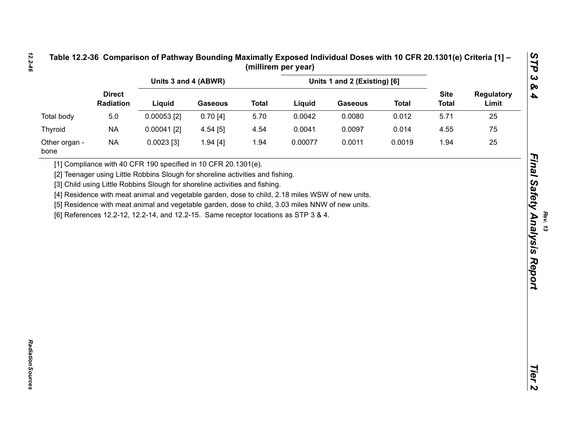|                       |                            | Units 3 and 4 (ABWR)                                                                                                                                                                    |                | Units 1 and 2 (Existing) [6] |         |                |              |                             |                            |
|-----------------------|----------------------------|-----------------------------------------------------------------------------------------------------------------------------------------------------------------------------------------|----------------|------------------------------|---------|----------------|--------------|-----------------------------|----------------------------|
|                       | <b>Direct</b><br>Radiation | Liquid                                                                                                                                                                                  | <b>Gaseous</b> | <b>Total</b>                 | Liquid  | <b>Gaseous</b> | <b>Total</b> | <b>Site</b><br><b>Total</b> | <b>Regulatory</b><br>Limit |
| <b>Total body</b>     | 5.0                        | $0.00053$ [2]                                                                                                                                                                           | 0.70[4]        | 5.70                         | 0.0042  | 0.0080         | 0.012        | 5.71                        | 25                         |
| Thyroid               | <b>NA</b>                  | $0.00041$ [2]                                                                                                                                                                           | 4.54 [5]       | 4.54                         | 0.0041  | 0.0097         | 0.014        | 4.55                        | 75                         |
| Other organ -<br>bone | <b>NA</b>                  | $0.0023$ [3]                                                                                                                                                                            | 1.94[4]        | 1.94                         | 0.00077 | 0.0011         | 0.0019       | 1.94                        | 25                         |
|                       |                            | [5] Residence with meat animal and vegetable garden, dose to child, 3.03 miles NNW of new units.<br>[6] References 12.2-12, 12.2-14, and 12.2-15. Same receptor locations as STP 3 & 4. |                |                              |         |                |              |                             |                            |

*Rev. 13*